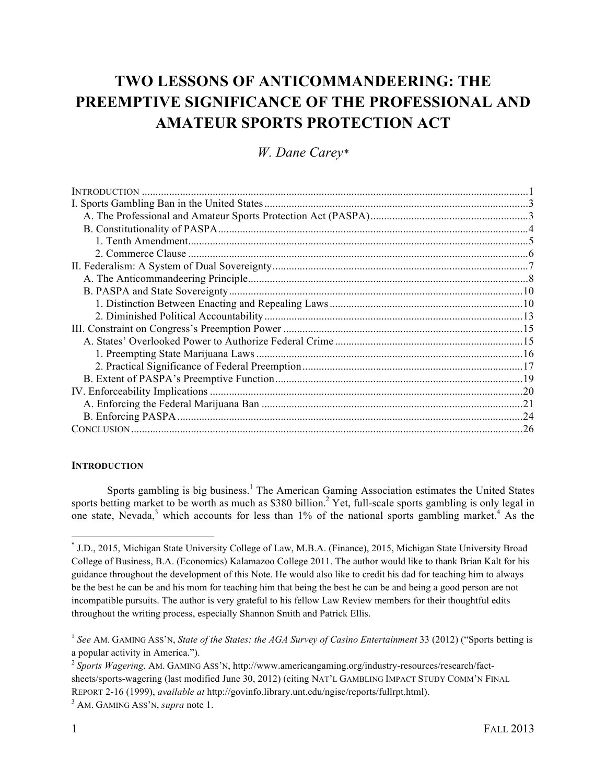# **TWO LESSONS OF ANTICOMMANDEERING: THE PREEMPTIVE SIGNIFICANCE OF THE PROFESSIONAL AND AMATEUR SPORTS PROTECTION ACT**

*W. Dane Carey\**

# **INTRODUCTION**

Sports gambling is big business.<sup>1</sup> The American Gaming Association estimates the United States sports betting market to be worth as much as \$380 billion.<sup>2</sup> Yet, full-scale sports gambling is only legal in one state, Nevada,<sup>3</sup> which accounts for less than 1% of the national sports gambling market.<sup>4</sup> As the

<sup>\*</sup> J.D., 2015, Michigan State University College of Law, M.B.A. (Finance), 2015, Michigan State University Broad College of Business, B.A. (Economics) Kalamazoo College 2011. The author would like to thank Brian Kalt for his guidance throughout the development of this Note. He would also like to credit his dad for teaching him to always be the best he can be and his mom for teaching him that being the best he can be and being a good person are not incompatible pursuits. The author is very grateful to his fellow Law Review members for their thoughtful edits throughout the writing process, especially Shannon Smith and Patrick Ellis.

<sup>&</sup>lt;sup>1</sup> See AM. GAMING ASS'N, *State of the States: the AGA Survey of Casino Entertainment* 33 (2012) ("Sports betting is a popular activity in America.").

<sup>2</sup> *Sports Wagering*, AM. GAMING ASS'N, http://www.americangaming.org/industry-resources/research/factsheets/sports-wagering (last modified June 30, 2012) (citing NAT'L GAMBLING IMPACT STUDY COMM'N FINAL REPORT 2-16 (1999), *available at* http://govinfo.library.unt.edu/ngisc/reports/fullrpt.html).

<sup>3</sup> AM. GAMING ASS'N, *supra* note 1.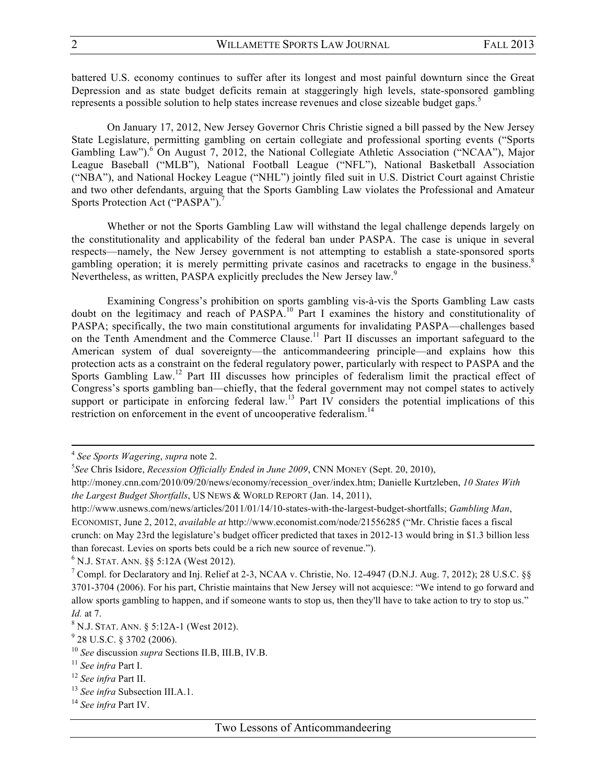battered U.S. economy continues to suffer after its longest and most painful downturn since the Great Depression and as state budget deficits remain at staggeringly high levels, state-sponsored gambling represents a possible solution to help states increase revenues and close sizeable budget gaps.<sup>5</sup>

On January 17, 2012, New Jersey Governor Chris Christie signed a bill passed by the New Jersey State Legislature, permitting gambling on certain collegiate and professional sporting events ("Sports Gambling Law").<sup>6</sup> On August 7, 2012, the National Collegiate Athletic Association ("NCAA"), Major League Baseball ("MLB"), National Football League ("NFL"), National Basketball Association ("NBA"), and National Hockey League ("NHL") jointly filed suit in U.S. District Court against Christie and two other defendants, arguing that the Sports Gambling Law violates the Professional and Amateur Sports Protection Act ("PASPA").<sup>7</sup>

Whether or not the Sports Gambling Law will withstand the legal challenge depends largely on the constitutionality and applicability of the federal ban under PASPA. The case is unique in several respects—namely, the New Jersey government is not attempting to establish a state-sponsored sports gambling operation; it is merely permitting private casinos and racetracks to engage in the business.<sup>8</sup> Nevertheless, as written, PASPA explicitly precludes the New Jersey law.<sup>9</sup>

Examining Congress's prohibition on sports gambling vis-à-vis the Sports Gambling Law casts doubt on the legitimacy and reach of PASPA.<sup>10</sup> Part I examines the history and constitutionality of PASPA; specifically, the two main constitutional arguments for invalidating PASPA—challenges based on the Tenth Amendment and the Commerce Clause.<sup>11</sup> Part II discusses an important safeguard to the American system of dual sovereignty—the anticommandeering principle—and explains how this protection acts as a constraint on the federal regulatory power, particularly with respect to PASPA and the Sports Gambling Law.<sup>12</sup> Part III discusses how principles of federalism limit the practical effect of Congress's sports gambling ban—chiefly, that the federal government may not compel states to actively support or participate in enforcing federal law.<sup>13</sup> Part IV considers the potential implications of this restriction on enforcement in the event of uncooperative federalism.<sup>14</sup>

<u> 2002 - Andrea Santa Alemania, amerikana amerikana amerikana amerikana amerikana amerikana amerikana amerikana</u>

<sup>13</sup> *See infra* Subsection III.A.1.

<sup>4</sup> *See Sports Wagering*, *supra* note 2.

<sup>5</sup> *See* Chris Isidore, *Recession Officially Ended in June 2009*, CNN MONEY (Sept. 20, 2010),

http://money.cnn.com/2010/09/20/news/economy/recession\_over/index.htm; Danielle Kurtzleben, *10 States With the Largest Budget Shortfalls*, US NEWS & WORLD REPORT (Jan. 14, 2011),

http://www.usnews.com/news/articles/2011/01/14/10-states-with-the-largest-budget-shortfalls; *Gambling Man*, ECONOMIST, June 2, 2012, *available at* http://www.economist.com/node/21556285 ("Mr. Christie faces a fiscal crunch: on May 23rd the legislature's budget officer predicted that taxes in 2012-13 would bring in \$1.3 billion less than forecast. Levies on sports bets could be a rich new source of revenue."). <sup>6</sup> N.J. STAT. ANN. §§ 5:12A (West 2012).

<sup>7</sup> Compl. for Declaratory and Inj. Relief at 2-3, NCAA v. Christie, No. 12-4947 (D.N.J. Aug. 7, 2012); 28 U.S.C. §§ 3701-3704 (2006). For his part, Christie maintains that New Jersey will not acquiesce: "We intend to go forward and allow sports gambling to happen, and if someone wants to stop us, then they'll have to take action to try to stop us." *Id.* at 7.

 $8 N.J.$  STAT. ANN.  $8 5:12A-1$  (West 2012).

 $9$  28 U.S.C. § 3702 (2006).

<sup>10</sup> *See* discussion *supra* Sections II.B, III.B, IV.B.

<sup>11</sup> *See infra* Part I.

<sup>12</sup> *See infra* Part II.

<sup>14</sup> *See infra* Part IV.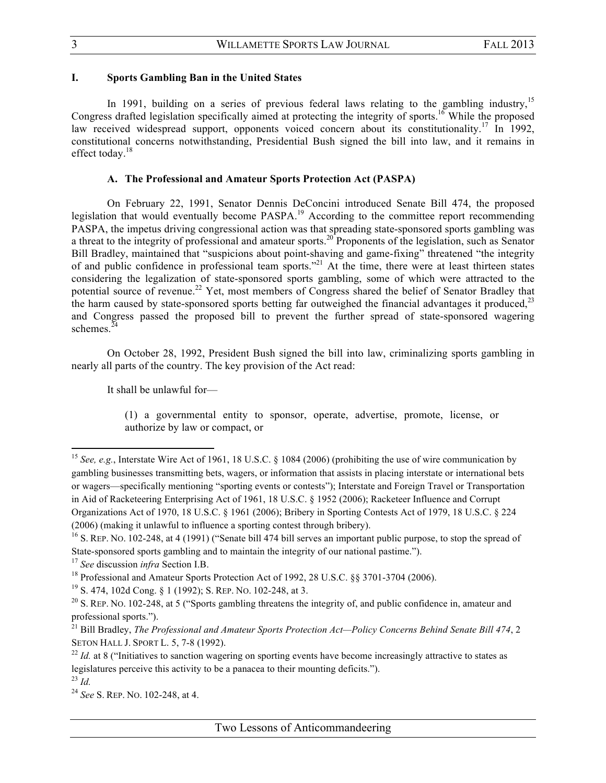## **I. Sports Gambling Ban in the United States**

In 1991, building on a series of previous federal laws relating to the gambling industry,<sup>15</sup> Congress drafted legislation specifically aimed at protecting the integrity of sports.<sup>16</sup> While the proposed law received widespread support, opponents voiced concern about its constitutionality.<sup>17</sup> In 1992, constitutional concerns notwithstanding, Presidential Bush signed the bill into law, and it remains in effect today. $18$ 

# **A. The Professional and Amateur Sports Protection Act (PASPA)**

On February 22, 1991, Senator Dennis DeConcini introduced Senate Bill 474, the proposed legislation that would eventually become PASPA.<sup>19</sup> According to the committee report recommending PASPA, the impetus driving congressional action was that spreading state-sponsored sports gambling was a threat to the integrity of professional and amateur sports.<sup>20</sup> Proponents of the legislation, such as Senator Bill Bradley, maintained that "suspicions about point-shaving and game-fixing" threatened "the integrity of and public confidence in professional team sports."<sup>21</sup> At the time, there were at least thirteen states considering the legalization of state-sponsored sports gambling, some of which were attracted to the potential source of revenue.<sup>22</sup> Yet, most members of Congress shared the belief of Senator Bradley that the harm caused by state-sponsored sports betting far outweighed the financial advantages it produced, $^{23}$ and Congress passed the proposed bill to prevent the further spread of state-sponsored wagering schemes. $^{24}$ 

On October 28, 1992, President Bush signed the bill into law, criminalizing sports gambling in nearly all parts of the country. The key provision of the Act read:

It shall be unlawful for—

(1) a governmental entity to sponsor, operate, advertise, promote, license, or authorize by law or compact, or

<sup>&</sup>lt;sup>15</sup> See, e.g., Interstate Wire Act of 1961, 18 U.S.C. § 1084 (2006) (prohibiting the use of wire communication by gambling businesses transmitting bets, wagers, or information that assists in placing interstate or international bets or wagers—specifically mentioning "sporting events or contests"); Interstate and Foreign Travel or Transportation in Aid of Racketeering Enterprising Act of 1961, 18 U.S.C. § 1952 (2006); Racketeer Influence and Corrupt Organizations Act of 1970, 18 U.S.C. § 1961 (2006); Bribery in Sporting Contests Act of 1979, 18 U.S.C. § 224 (2006) (making it unlawful to influence a sporting contest through bribery).

<sup>&</sup>lt;sup>16</sup> S. REP. NO. 102-248, at 4 (1991) ("Senate bill 474 bill serves an important public purpose, to stop the spread of State-sponsored sports gambling and to maintain the integrity of our national pastime."). 17 *See* discussion *infra* Section I.B.

<sup>&</sup>lt;sup>18</sup> Professional and Amateur Sports Protection Act of 1992, 28 U.S.C. §§ 3701-3704 (2006).

<sup>19</sup> S. 474, 102d Cong. § 1 (1992); S. REP. NO. 102-248, at 3.

<sup>&</sup>lt;sup>20</sup> S. REP. NO. 102-248, at 5 ("Sports gambling threatens the integrity of, and public confidence in, amateur and professional sports.").

<sup>21</sup> Bill Bradley, *The Professional and Amateur Sports Protection Act—Policy Concerns Behind Senate Bill 474*, 2 SETON HALL J. SPORT L. 5, 7-8 (1992).

<sup>&</sup>lt;sup>22</sup> *Id.* at 8 ("Initiatives to sanction wagering on sporting events have become increasingly attractive to states as legislatures perceive this activity to be a panacea to their mounting deficits."). <sup>23</sup> *Id.*

<sup>24</sup> *See* S. REP. NO. 102-248, at 4.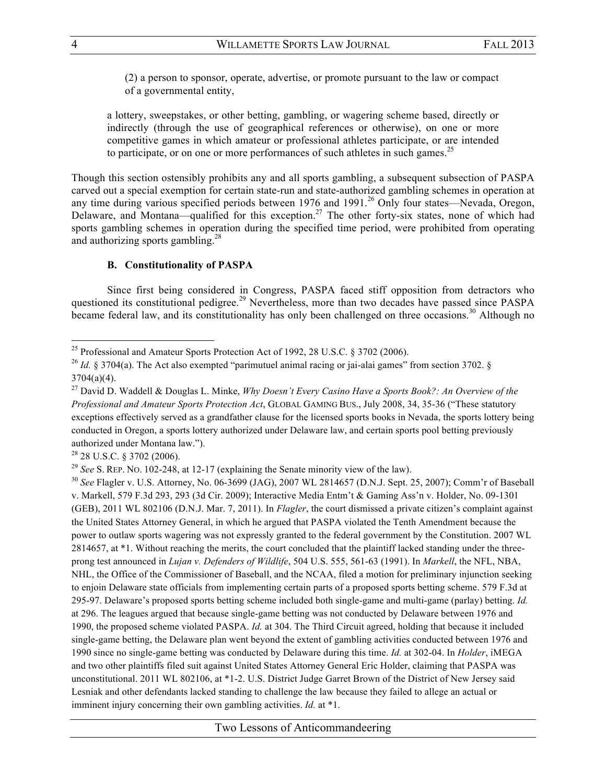(2) a person to sponsor, operate, advertise, or promote pursuant to the law or compact of a governmental entity,

a lottery, sweepstakes, or other betting, gambling, or wagering scheme based, directly or indirectly (through the use of geographical references or otherwise), on one or more competitive games in which amateur or professional athletes participate, or are intended to participate, or on one or more performances of such athletes in such games.<sup>25</sup>

Though this section ostensibly prohibits any and all sports gambling, a subsequent subsection of PASPA carved out a special exemption for certain state-run and state-authorized gambling schemes in operation at any time during various specified periods between  $1976$  and  $1991<sup>26</sup>$  Only four states—Nevada, Oregon, Delaware, and Montana—qualified for this exception.<sup>27</sup> The other forty-six states, none of which had sports gambling schemes in operation during the specified time period, were prohibited from operating and authorizing sports gambling.<sup>28</sup>

# **B. Constitutionality of PASPA**

Since first being considered in Congress, PASPA faced stiff opposition from detractors who questioned its constitutional pedigree.<sup>29</sup> Nevertheless, more than two decades have passed since PASPA became federal law, and its constitutionality has only been challenged on three occasions.<sup>30</sup> Although no

<sup>28</sup> 28 U.S.C. § 3702 (2006).

 

<sup>29</sup> *See* S. REP. NO. 102-248, at 12-17 (explaining the Senate minority view of the law).

<sup>30</sup> *See* Flagler v. U.S. Attorney, No. 06-3699 (JAG), 2007 WL 2814657 (D.N.J. Sept. 25, 2007); Comm'r of Baseball v. Markell, 579 F.3d 293, 293 (3d Cir. 2009); Interactive Media Entm't & Gaming Ass'n v. Holder, No. 09-1301 (GEB), 2011 WL 802106 (D.N.J. Mar. 7, 2011). In *Flagler*, the court dismissed a private citizen's complaint against the United States Attorney General, in which he argued that PASPA violated the Tenth Amendment because the power to outlaw sports wagering was not expressly granted to the federal government by the Constitution. 2007 WL 2814657, at \*1. Without reaching the merits, the court concluded that the plaintiff lacked standing under the threeprong test announced in *Lujan v. Defenders of Wildlife*, 504 U.S. 555, 561-63 (1991). In *Markell*, the NFL, NBA, NHL, the Office of the Commissioner of Baseball, and the NCAA, filed a motion for preliminary injunction seeking to enjoin Delaware state officials from implementing certain parts of a proposed sports betting scheme. 579 F.3d at 295-97. Delaware's proposed sports betting scheme included both single-game and multi-game (parlay) betting. *Id.* at 296. The leagues argued that because single-game betting was not conducted by Delaware between 1976 and 1990, the proposed scheme violated PASPA. *Id.* at 304. The Third Circuit agreed, holding that because it included single-game betting, the Delaware plan went beyond the extent of gambling activities conducted between 1976 and 1990 since no single-game betting was conducted by Delaware during this time. *Id.* at 302-04. In *Holder*, iMEGA and two other plaintiffs filed suit against United States Attorney General Eric Holder, claiming that PASPA was unconstitutional. 2011 WL 802106, at \*1-2. U.S. District Judge Garret Brown of the District of New Jersey said Lesniak and other defendants lacked standing to challenge the law because they failed to allege an actual or imminent injury concerning their own gambling activities. *Id.* at \*1.

<sup>&</sup>lt;sup>25</sup> Professional and Amateur Sports Protection Act of 1992, 28 U.S.C. § 3702 (2006).

<sup>&</sup>lt;sup>26</sup> *Id.* § 3704(a). The Act also exempted "parimutuel animal racing or jai-alai games" from section 3702. §  $3704(a)(4)$ .

<sup>27</sup> David D. Waddell & Douglas L. Minke, *Why Doesn't Every Casino Have a Sports Book?: An Overview of the Professional and Amateur Sports Protection Act*, GLOBAL GAMING BUS., July 2008, 34, 35-36 ("These statutory exceptions effectively served as a grandfather clause for the licensed sports books in Nevada, the sports lottery being conducted in Oregon, a sports lottery authorized under Delaware law, and certain sports pool betting previously authorized under Montana law.").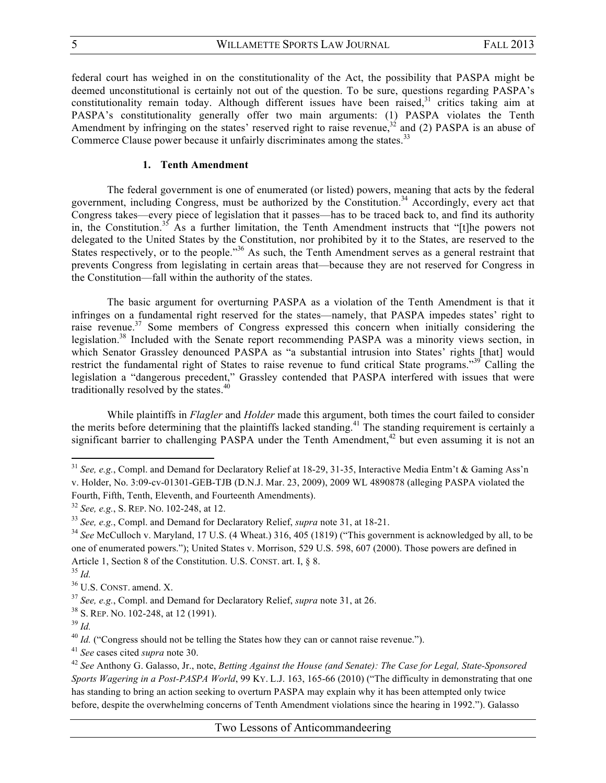federal court has weighed in on the constitutionality of the Act, the possibility that PASPA might be deemed unconstitutional is certainly not out of the question. To be sure, questions regarding PASPA's constitutionality remain today. Although different issues have been raised,<sup>31</sup> critics taking aim at PASPA's constitutionality generally offer two main arguments: (1) PASPA violates the Tenth Amendment by infringing on the states' reserved right to raise revenue,<sup>32</sup> and (2) PASPA is an abuse of Commerce Clause power because it unfairly discriminates among the states.<sup>33</sup>

# **1. Tenth Amendment**

The federal government is one of enumerated (or listed) powers, meaning that acts by the federal government, including Congress, must be authorized by the Constitution.<sup>34</sup> Accordingly, every act that Congress takes—every piece of legislation that it passes—has to be traced back to, and find its authority in, the Constitution.<sup>35</sup> As a further limitation, the Tenth Amendment instructs that "[t]he powers not delegated to the United States by the Constitution, nor prohibited by it to the States, are reserved to the States respectively, or to the people."<sup>36</sup> As such, the Tenth Amendment serves as a general restraint that prevents Congress from legislating in certain areas that—because they are not reserved for Congress in the Constitution—fall within the authority of the states.

The basic argument for overturning PASPA as a violation of the Tenth Amendment is that it infringes on a fundamental right reserved for the states—namely, that PASPA impedes states' right to raise revenue.<sup>37</sup> Some members of Congress expressed this concern when initially considering the legislation.<sup>38</sup> Included with the Senate report recommending PASPA was a minority views section, in which Senator Grassley denounced PASPA as "a substantial intrusion into States' rights [that] would restrict the fundamental right of States to raise revenue to fund critical State programs."<sup>39</sup> Calling the legislation a "dangerous precedent," Grassley contended that PASPA interfered with issues that were traditionally resolved by the states.<sup>40</sup>

While plaintiffs in *Flagler* and *Holder* made this argument, both times the court failed to consider the merits before determining that the plaintiffs lacked standing.<sup>41</sup> The standing requirement is certainly a significant barrier to challenging PASPA under the Tenth Amendment,<sup>42</sup> but even assuming it is not an

 

<sup>36</sup> U.S. CONST. amend. X.

<sup>&</sup>lt;sup>31</sup> *See, e.g.*, Compl. and Demand for Declaratory Relief at 18-29, 31-35, Interactive Media Entm't & Gaming Ass'n v. Holder, No. 3:09-cv-01301-GEB-TJB (D.N.J. Mar. 23, 2009), 2009 WL 4890878 (alleging PASPA violated the Fourth, Fifth, Tenth, Eleventh, and Fourteenth Amendments).

<sup>32</sup> *See, e.g.*, S. REP. NO. 102-248, at 12.

<sup>33</sup> *See, e.g.*, Compl. and Demand for Declaratory Relief, *supra* note 31, at 18-21.

<sup>&</sup>lt;sup>34</sup> See McCulloch v. Maryland, 17 U.S. (4 Wheat.) 316, 405 (1819) ("This government is acknowledged by all, to be one of enumerated powers."); United States v. Morrison, 529 U.S. 598, 607 (2000). Those powers are defined in Article 1, Section 8 of the Constitution. U.S. CONST. art. I,  $\&$  8.

<sup>35</sup> *Id.*

<sup>37</sup> *See, e.g.*, Compl. and Demand for Declaratory Relief, *supra* note 31, at 26.

<sup>38</sup> S. REP. NO. 102-248, at 12 (1991).

<sup>39</sup> *Id.*

<sup>&</sup>lt;sup>40</sup> *Id.* ("Congress should not be telling the States how they can or cannot raise revenue.").

<sup>41</sup> *See* cases cited *supra* note 30.

<sup>42</sup> *See* Anthony G. Galasso, Jr., note, *Betting Against the House (and Senate): The Case for Legal, State-Sponsored Sports Wagering in a Post-PASPA World*, 99 KY. L.J. 163, 165-66 (2010) ("The difficulty in demonstrating that one has standing to bring an action seeking to overturn PASPA may explain why it has been attempted only twice before, despite the overwhelming concerns of Tenth Amendment violations since the hearing in 1992."). Galasso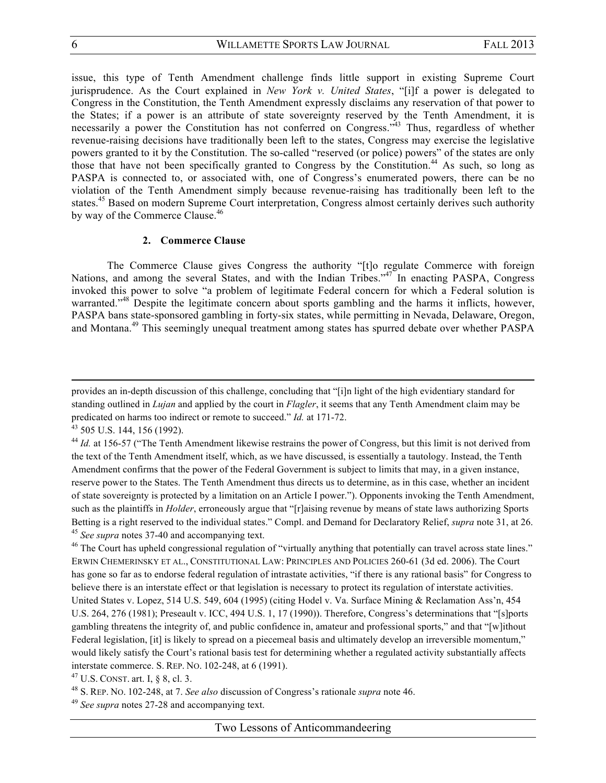issue, this type of Tenth Amendment challenge finds little support in existing Supreme Court jurisprudence. As the Court explained in *New York v. United States*, "[i]f a power is delegated to Congress in the Constitution, the Tenth Amendment expressly disclaims any reservation of that power to the States; if a power is an attribute of state sovereignty reserved by the Tenth Amendment, it is necessarily a power the Constitution has not conferred on Congress.<sup>343</sup> Thus, regardless of whether revenue-raising decisions have traditionally been left to the states, Congress may exercise the legislative powers granted to it by the Constitution. The so-called "reserved (or police) powers" of the states are only those that have not been specifically granted to Congress by the Constitution.<sup>44</sup> As such, so long as PASPA is connected to, or associated with, one of Congress's enumerated powers, there can be no violation of the Tenth Amendment simply because revenue-raising has traditionally been left to the states.45 Based on modern Supreme Court interpretation, Congress almost certainly derives such authority by way of the Commerce Clause.<sup>46</sup>

#### **2. Commerce Clause**

The Commerce Clause gives Congress the authority "[t]o regulate Commerce with foreign Nations, and among the several States, and with the Indian Tribes."<sup>47</sup> In enacting PASPA, Congress invoked this power to solve "a problem of legitimate Federal concern for which a Federal solution is warranted."<sup>48</sup> Despite the legitimate concern about sports gambling and the harms it inflicts, however, PASPA bans state-sponsored gambling in forty-six states, while permitting in Nevada, Delaware, Oregon, and Montana.<sup>49</sup> This seemingly unequal treatment among states has spurred debate over whether PASPA

<u> 2002 - Andrea Santa Alemania, amerikana amerikana amerikana amerikana amerikana amerikana amerikana amerikana</u>

<sup>47</sup> U.S. CONST. art. I, § 8, cl. 3.

provides an in-depth discussion of this challenge, concluding that "[i]n light of the high evidentiary standard for standing outlined in *Lujan* and applied by the court in *Flagler*, it seems that any Tenth Amendment claim may be predicated on harms too indirect or remote to succeed." *Id.* at 171-72.<br><sup>43</sup> 505 U.S. 144, 156 (1992).<br><sup>44</sup> *Id.* at 156-57 ("The Tenth Amendment likewise restrains the power of Congress, but this limit is not derived fro

the text of the Tenth Amendment itself, which, as we have discussed, is essentially a tautology. Instead, the Tenth Amendment confirms that the power of the Federal Government is subject to limits that may, in a given instance, reserve power to the States. The Tenth Amendment thus directs us to determine, as in this case, whether an incident of state sovereignty is protected by a limitation on an Article I power."). Opponents invoking the Tenth Amendment, such as the plaintiffs in *Holder*, erroneously argue that "[r]aising revenue by means of state laws authorizing Sports Betting is a right reserved to the individual states." Compl. and Demand for Declaratory Relief, *supra* note 31, at 26. <sup>45</sup> *See supra* notes 37-40 and accompanying text.<br><sup>46</sup> The Court has upheld congressional regulation of "virtually anything that potentially can travel across state lines."

ERWIN CHEMERINSKY ET AL., CONSTITUTIONAL LAW: PRINCIPLES AND POLICIES 260-61 (3d ed. 2006). The Court has gone so far as to endorse federal regulation of intrastate activities, "if there is any rational basis" for Congress to believe there is an interstate effect or that legislation is necessary to protect its regulation of interstate activities. United States v. Lopez, 514 U.S. 549, 604 (1995) (citing Hodel v. Va. Surface Mining & Reclamation Ass'n, 454 U.S. 264, 276 (1981); Preseault v. ICC, 494 U.S. 1, 17 (1990)). Therefore, Congress's determinations that "[s]ports gambling threatens the integrity of, and public confidence in, amateur and professional sports," and that "[w]ithout Federal legislation, [it] is likely to spread on a piecemeal basis and ultimately develop an irreversible momentum," would likely satisfy the Court's rational basis test for determining whether a regulated activity substantially affects interstate commerce. S. REP. NO. 102-248, at 6 (1991).

<sup>48</sup> S. REP. NO. 102-248, at 7. *See also* discussion of Congress's rationale *supra* note 46.

<sup>49</sup> *See supra* notes 27-28 and accompanying text.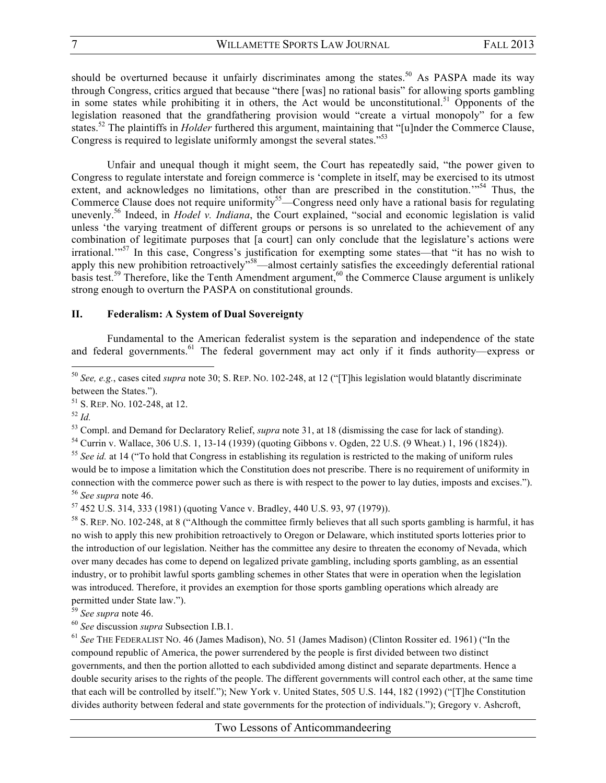should be overturned because it unfairly discriminates among the states.<sup>50</sup> As PASPA made its way through Congress, critics argued that because "there [was] no rational basis" for allowing sports gambling in some states while prohibiting it in others, the Act would be unconstitutional.<sup>51</sup> Opponents of the legislation reasoned that the grandfathering provision would "create a virtual monopoly" for a few states.52 The plaintiffs in *Holder* furthered this argument, maintaining that "[u]nder the Commerce Clause, Congress is required to legislate uniformly amongst the several states."<sup>53</sup>

Unfair and unequal though it might seem, the Court has repeatedly said, "the power given to Congress to regulate interstate and foreign commerce is 'complete in itself, may be exercised to its utmost extent, and acknowledges no limitations, other than are prescribed in the constitution.<sup>'"54</sup> Thus, the Commerce Clause does not require uniformity<sup>55</sup>—Congress need only have a rational basis for regulating unevenly.<sup>56</sup> Indeed, in *Hodel v. Indiana*, the Court explained, "social and economic legislation is valid unless 'the varying treatment of different groups or persons is so unrelated to the achievement of any combination of legitimate purposes that [a court] can only conclude that the legislature's actions were irrational.'"<sup>57</sup> In this case, Congress's justification for exempting some states—that "it has no wish to apply this new prohibition retroactively"<sup>58</sup>—almost certainly satisfies the exceedingly deferential rational basis test.<sup>59</sup> Therefore, like the Tenth Amendment argument,<sup>60</sup> the Commerce Clause argument is unlikely strong enough to overturn the PASPA on constitutional grounds.

### **II. Federalism: A System of Dual Sovereignty**

Fundamental to the American federalist system is the separation and independence of the state and federal governments.<sup>61</sup> The federal government may act only if it finds authority—express or

 

 $\frac{52 \text{ Id.}}{53}$  Compl. and Demand for Declaratory Relief, *supra* note 31, at 18 (dismissing the case for lack of standing).

<sup>54</sup> Currin v. Wallace, 306 U.S. 1, 13-14 (1939) (quoting Gibbons v. Ogden, 22 U.S. (9 Wheat.) 1, 196 (1824)).

<sup>55</sup> See id. at 14 ("To hold that Congress in establishing its regulation is restricted to the making of uniform rules would be to impose a limitation which the Constitution does not prescribe. There is no requirement of uniformity in connection with the commerce power such as there is with respect to the power to lay duties, imposts and excises."). <sup>56</sup> *See supra* note 46.

<sup>57</sup> 452 U.S. 314, 333 (1981) (quoting Vance v. Bradley, 440 U.S. 93, 97 (1979)).

<sup>58</sup> S. REP. NO. 102-248, at 8 ("Although the committee firmly believes that all such sports gambling is harmful, it has no wish to apply this new prohibition retroactively to Oregon or Delaware, which instituted sports lotteries prior to the introduction of our legislation. Neither has the committee any desire to threaten the economy of Nevada, which over many decades has come to depend on legalized private gambling, including sports gambling, as an essential industry, or to prohibit lawful sports gambling schemes in other States that were in operation when the legislation was introduced. Therefore, it provides an exemption for those sports gambling operations which already are permitted under State law.").

<sup>59</sup> *See supra* note 46.

<sup>60</sup> *See* discussion *supra* Subsection I.B.1.

<sup>61</sup> *See* THE FEDERALIST NO. 46 (James Madison), NO. 51 (James Madison) (Clinton Rossiter ed. 1961) ("In the compound republic of America, the power surrendered by the people is first divided between two distinct governments, and then the portion allotted to each subdivided among distinct and separate departments. Hence a double security arises to the rights of the people. The different governments will control each other, at the same time that each will be controlled by itself."); New York v. United States, 505 U.S. 144, 182 (1992) ("[T]he Constitution divides authority between federal and state governments for the protection of individuals."); Gregory v. Ashcroft,

<sup>50</sup> *See, e.g.*, cases cited *supra* note 30; S. REP. NO. 102-248, at 12 ("[T]his legislation would blatantly discriminate between the States.").

 $51$  S. REP. No. 102-248, at 12.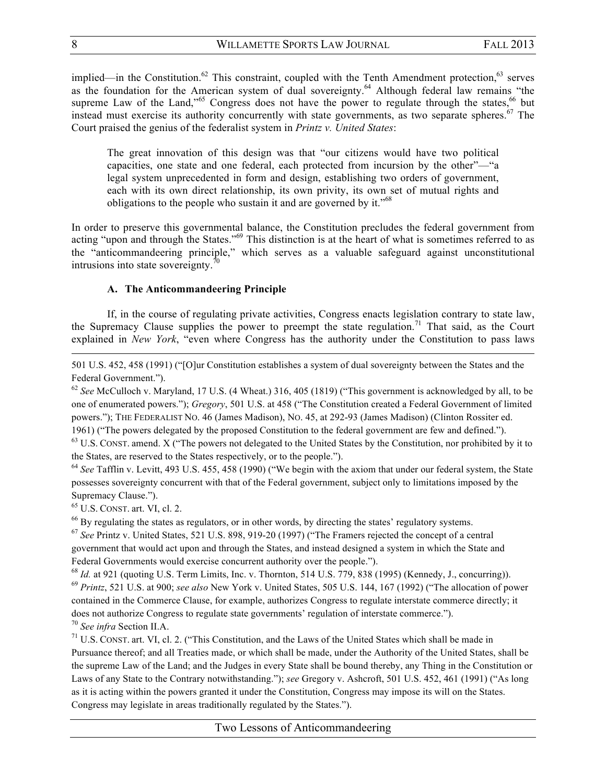implied—in the Constitution.<sup>62</sup> This constraint, coupled with the Tenth Amendment protection.<sup>63</sup> serves as the foundation for the American system of dual sovereignty.<sup>64</sup> Although federal law remains "the supreme Law of the Land,"<sup>65</sup> Congress does not have the power to regulate through the states,  $^{66}$  but instead must exercise its authority concurrently with state governments, as two separate spheres.<sup>67</sup> The Court praised the genius of the federalist system in *Printz v. United States*:

The great innovation of this design was that "our citizens would have two political capacities, one state and one federal, each protected from incursion by the other"—"a legal system unprecedented in form and design, establishing two orders of government, each with its own direct relationship, its own privity, its own set of mutual rights and obligations to the people who sustain it and are governed by it.<sup> $10^{68}$ </sup>

In order to preserve this governmental balance, the Constitution precludes the federal government from acting "upon and through the States."<sup>69</sup> This distinction is at the heart of what is sometimes referred to as the "anticommandeering principle," which serves as a valuable safeguard against unconstitutional intrusions into state sovereignty. $\frac{7}{2}$ 

## **A. The Anticommandeering Principle**

If, in the course of regulating private activities, Congress enacts legislation contrary to state law, the Supremacy Clause supplies the power to preempt the state regulation.<sup>71</sup> That said, as the Court explained in *New York*, "even where Congress has the authority under the Constitution to pass laws

<u> 1989 - Andrea Santa Andrea Andrea Andrea Andrea Andrea Andrea Andrea Andrea Andrea Andrea Andrea Andrea Andr</u>

501 U.S. 452, 458 (1991) ("[O]ur Constitution establishes a system of dual sovereignty between the States and the Federal Government.").

<sup>62</sup> See McCulloch v. Maryland, 17 U.S. (4 Wheat.) 316, 405 (1819) ("This government is acknowledged by all, to be one of enumerated powers."); *Gregory*, 501 U.S. at 458 ("The Constitution created a Federal Government of limited powers."); THE FEDERALIST NO. 46 (James Madison), NO. 45, at 292-93 (James Madison) (Clinton Rossiter ed.

1961) ("The powers delegated by the proposed Constitution to the federal government are few and defined.").

<sup>63</sup> U.S. CONST. amend. X ("The powers not delegated to the United States by the Constitution, nor prohibited by it to the States, are reserved to the States respectively, or to the people.").

<sup>64</sup> *See* Tafflin v. Levitt, 493 U.S. 455, 458 (1990) ("We begin with the axiom that under our federal system, the State possesses sovereignty concurrent with that of the Federal government, subject only to limitations imposed by the Supremacy Clause.").<br><sup>65</sup> U.S. CONST. art. VI, cl. 2.

<sup>66</sup> By regulating the states as regulators, or in other words, by directing the states' regulatory systems.

<sup>67</sup> *See* Printz v. United States, 521 U.S. 898, 919-20 (1997) ("The Framers rejected the concept of a central government that would act upon and through the States, and instead designed a system in which the State and Federal Governments would exercise concurrent authority over the people.").

<sup>68</sup> *Id.* at 921 (quoting U.S. Term Limits, Inc. v. Thornton, 514 U.S. 779, 838 (1995) (Kennedy, J., concurring)). <sup>69</sup> *Printz*, 521 U.S. at 900; *see also* New York v. United States, 505 U.S. 144, 167 (1992) ("The allocation of power contained in the Commerce Clause, for example, authorizes Congress to regulate interstate commerce directly; it does not authorize Congress to regulate state governments' regulation of interstate commerce.").

<sup>70</sup> *See infra* Section II.A.

<sup>71</sup> U.S. CONST. art. VI, cl. 2. ("This Constitution, and the Laws of the United States which shall be made in Pursuance thereof; and all Treaties made, or which shall be made, under the Authority of the United States, shall be the supreme Law of the Land; and the Judges in every State shall be bound thereby, any Thing in the Constitution or Laws of any State to the Contrary notwithstanding."); *see* Gregory v. Ashcroft, 501 U.S. 452, 461 (1991) ("As long as it is acting within the powers granted it under the Constitution, Congress may impose its will on the States. Congress may legislate in areas traditionally regulated by the States.").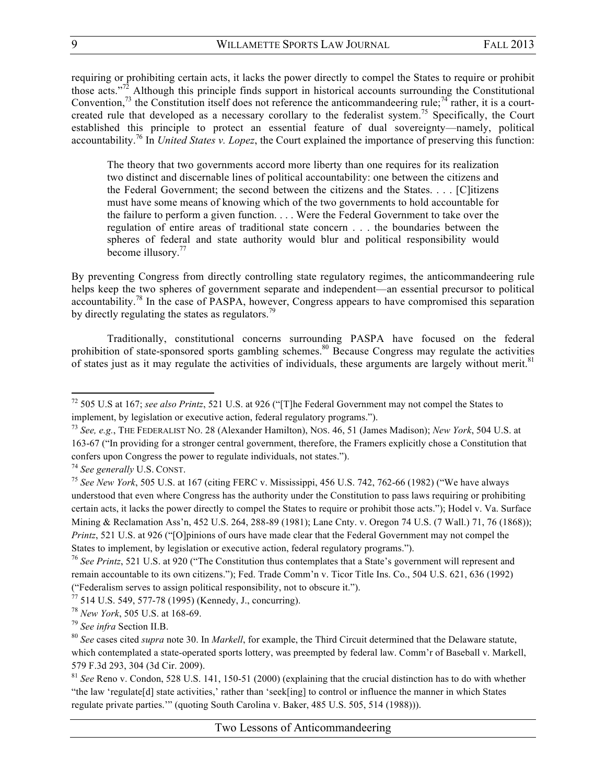requiring or prohibiting certain acts, it lacks the power directly to compel the States to require or prohibit those acts."<sup>72</sup> Although this principle finds support in historical accounts surrounding the Constitutional Convention,<sup>73</sup> the Constitution itself does not reference the anticommandeering rule;<sup>74</sup> rather, it is a courtcreated rule that developed as a necessary corollary to the federalist system.<sup>75</sup> Specifically, the Court established this principle to protect an essential feature of dual sovereignty—namely, political accountability.<sup>76</sup> In *United States v. Lopez*, the Court explained the importance of preserving this function:

The theory that two governments accord more liberty than one requires for its realization two distinct and discernable lines of political accountability: one between the citizens and the Federal Government; the second between the citizens and the States. . . . [C]itizens must have some means of knowing which of the two governments to hold accountable for the failure to perform a given function. . . . Were the Federal Government to take over the regulation of entire areas of traditional state concern . . . the boundaries between the spheres of federal and state authority would blur and political responsibility would become illusory.<sup>77</sup>

By preventing Congress from directly controlling state regulatory regimes, the anticommandeering rule helps keep the two spheres of government separate and independent—an essential precursor to political accountability.<sup>78</sup> In the case of PASPA, however, Congress appears to have compromised this separation by directly regulating the states as regulators.<sup>79</sup>

Traditionally, constitutional concerns surrounding PASPA have focused on the federal prohibition of state-sponsored sports gambling schemes.<sup>80</sup> Because Congress may regulate the activities of states just as it may regulate the activities of individuals, these arguments are largely without merit.<sup>81</sup>

<sup>72</sup> 505 U.S at 167; *see also Printz*, 521 U.S. at 926 ("[T]he Federal Government may not compel the States to implement, by legislation or executive action, federal regulatory programs.").

<sup>73</sup> *See, e.g.*, THE FEDERALIST NO. 28 (Alexander Hamilton), NOS. 46, 51 (James Madison); *New York*, 504 U.S. at 163-67 ("In providing for a stronger central government, therefore, the Framers explicitly chose a Constitution that confers upon Congress the power to regulate individuals, not states.").

<sup>74</sup> *See generally* U.S. CONST.

<sup>75</sup> *See New York*, 505 U.S. at 167 (citing FERC v. Mississippi, 456 U.S. 742, 762-66 (1982) ("We have always understood that even where Congress has the authority under the Constitution to pass laws requiring or prohibiting certain acts, it lacks the power directly to compel the States to require or prohibit those acts."); Hodel v. Va. Surface Mining & Reclamation Ass'n, 452 U.S. 264, 288-89 (1981); Lane Cnty. v. Oregon 74 U.S. (7 Wall.) 71, 76 (1868)); *Printz*, 521 U.S. at 926 ("[O]pinions of ours have made clear that the Federal Government may not compel the States to implement, by legislation or executive action, federal regulatory programs.").

<sup>76</sup> *See Printz*, 521 U.S. at 920 ("The Constitution thus contemplates that a State's government will represent and remain accountable to its own citizens."); Fed. Trade Comm'n v. Ticor Title Ins. Co., 504 U.S. 621, 636 (1992) ("Federalism serves to assign political responsibility, not to obscure it.").

<sup>77</sup> 514 U.S. 549, 577-78 (1995) (Kennedy, J., concurring).

<sup>78</sup> *New York*, 505 U.S. at 168-69.

<sup>79</sup> *See infra* Section II.B.

<sup>80</sup> *See* cases cited *supra* note 30. In *Markell*, for example, the Third Circuit determined that the Delaware statute, which contemplated a state-operated sports lottery, was preempted by federal law. Comm'r of Baseball v. Markell, 579 F.3d 293, 304 (3d Cir. 2009).

<sup>81</sup> *See* Reno v. Condon, 528 U.S. 141, 150-51 (2000) (explaining that the crucial distinction has to do with whether "the law 'regulate[d] state activities,' rather than 'seek[ing] to control or influence the manner in which States regulate private parties.'" (quoting South Carolina v. Baker, 485 U.S. 505, 514 (1988))).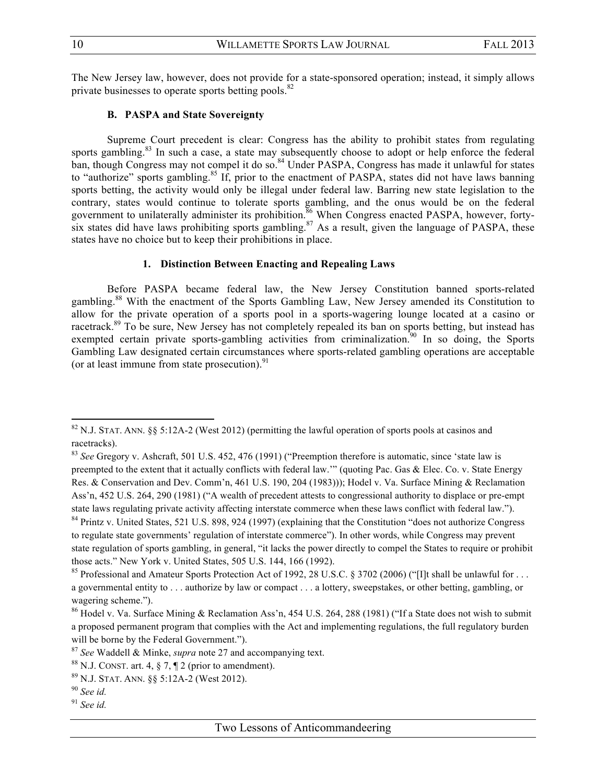The New Jersey law, however, does not provide for a state-sponsored operation; instead, it simply allows private businesses to operate sports betting pools.<sup>82</sup>

#### **B. PASPA and State Sovereignty**

Supreme Court precedent is clear: Congress has the ability to prohibit states from regulating sports gambling.<sup>83</sup> In such a case, a state may subsequently choose to adopt or help enforce the federal ban, though Congress may not compel it do so.<sup>84</sup> Under PASPA, Congress has made it unlawful for states to "authorize" sports gambling.<sup>85</sup> If, prior to the enactment of PASPA, states did not have laws banning sports betting, the activity would only be illegal under federal law. Barring new state legislation to the contrary, states would continue to tolerate sports gambling, and the onus would be on the federal government to unilaterally administer its prohibition.<sup>86</sup> When Congress enacted PASPA, however, fortysix states did have laws prohibiting sports gambling.<sup>87</sup> As a result, given the language of PASPA, these states have no choice but to keep their prohibitions in place.

#### **1. Distinction Between Enacting and Repealing Laws**

Before PASPA became federal law, the New Jersey Constitution banned sports-related gambling.<sup>88</sup> With the enactment of the Sports Gambling Law, New Jersey amended its Constitution to allow for the private operation of a sports pool in a sports-wagering lounge located at a casino or racetrack.<sup>89</sup> To be sure, New Jersey has not completely repealed its ban on sports betting, but instead has exempted certain private sports-gambling activities from criminalization.<sup>90</sup> In so doing, the Sports Gambling Law designated certain circumstances where sports-related gambling operations are acceptable (or at least immune from state prosecution). $91$ 

<sup>&</sup>lt;sup>82</sup> N.J. STAT. ANN. §§ 5:12A-2 (West 2012) (permitting the lawful operation of sports pools at casinos and racetracks).

<sup>83</sup> *See* Gregory v. Ashcraft, 501 U.S. 452, 476 (1991) ("Preemption therefore is automatic, since 'state law is preempted to the extent that it actually conflicts with federal law.'" (quoting Pac. Gas & Elec. Co. v. State Energy Res. & Conservation and Dev. Comm'n, 461 U.S. 190, 204 (1983))); Hodel v. Va. Surface Mining & Reclamation Ass'n, 452 U.S. 264, 290 (1981) ("A wealth of precedent attests to congressional authority to displace or pre-empt state laws regulating private activity affecting interstate commerce when these laws conflict with federal law."). <sup>84</sup> Printz v. United States, 521 U.S. 898, 924 (1997) (explaining that the Constitution "does not authorize Congress

to regulate state governments' regulation of interstate commerce"). In other words, while Congress may prevent state regulation of sports gambling, in general, "it lacks the power directly to compel the States to require or prohibit those acts." New York v. United States, 505 U.S. 144, 166 (1992).

<sup>&</sup>lt;sup>85</sup> Professional and Amateur Sports Protection Act of 1992, 28 U.S.C. § 3702 (2006) ("IIt shall be unlawful for ... a governmental entity to . . . authorize by law or compact . . . a lottery, sweepstakes, or other betting, gambling, or wagering scheme.").

<sup>&</sup>lt;sup>86</sup> Hodel v. Va. Surface Mining & Reclamation Ass'n, 454 U.S. 264, 288 (1981) ("If a State does not wish to submit a proposed permanent program that complies with the Act and implementing regulations, the full regulatory burden will be borne by the Federal Government.").

<sup>87</sup> *See* Waddell & Minke, *supra* note 27 and accompanying text.

<sup>&</sup>lt;sup>88</sup> N.J. CONST. art. 4,  $\frac{6}{3}$  7,  $\frac{4}{3}$  2 (prior to amendment).

<sup>89</sup> N.J. STAT. ANN. §§ 5:12A-2 (West 2012).

<sup>90</sup> *See id.*

<sup>91</sup> *See id.*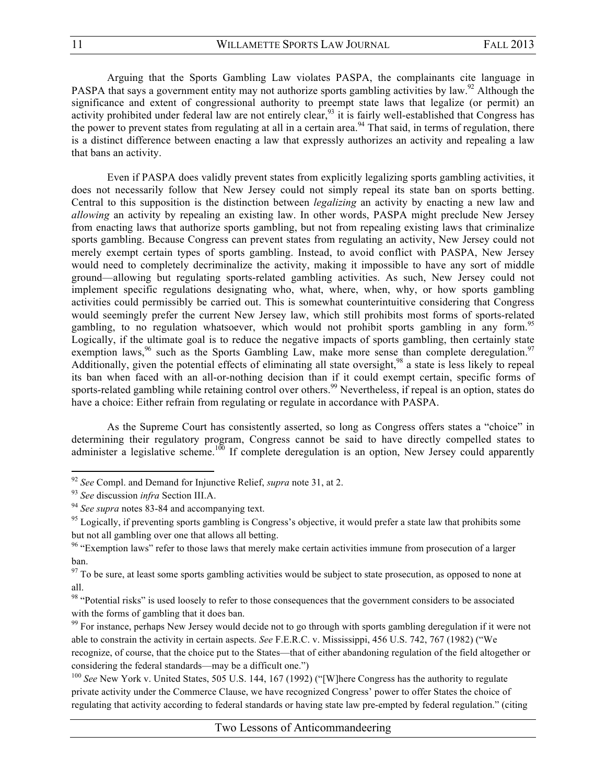Arguing that the Sports Gambling Law violates PASPA, the complainants cite language in PASPA that says a government entity may not authorize sports gambling activities by law.<sup>92</sup> Although the significance and extent of congressional authority to preempt state laws that legalize (or permit) an activity prohibited under federal law are not entirely clear,<sup>93</sup> it is fairly well-established that Congress has the power to prevent states from regulating at all in a certain area.<sup>94</sup> That said, in terms of regulation, there is a distinct difference between enacting a law that expressly authorizes an activity and repealing a law that bans an activity.

Even if PASPA does validly prevent states from explicitly legalizing sports gambling activities, it does not necessarily follow that New Jersey could not simply repeal its state ban on sports betting. Central to this supposition is the distinction between *legalizing* an activity by enacting a new law and *allowing* an activity by repealing an existing law. In other words, PASPA might preclude New Jersey from enacting laws that authorize sports gambling, but not from repealing existing laws that criminalize sports gambling. Because Congress can prevent states from regulating an activity, New Jersey could not merely exempt certain types of sports gambling. Instead, to avoid conflict with PASPA, New Jersey would need to completely decriminalize the activity, making it impossible to have any sort of middle ground—allowing but regulating sports-related gambling activities. As such, New Jersey could not implement specific regulations designating who, what, where, when, why, or how sports gambling activities could permissibly be carried out. This is somewhat counterintuitive considering that Congress would seemingly prefer the current New Jersey law, which still prohibits most forms of sports-related gambling, to no regulation whatsoever, which would not prohibit sports gambling in any form.<sup>95</sup> Logically, if the ultimate goal is to reduce the negative impacts of sports gambling, then certainly state exemption laws,<sup>96</sup> such as the Sports Gambling Law, make more sense than complete deregulation.<sup>97</sup> Additionally, given the potential effects of eliminating all state oversight,<sup>98</sup> a state is less likely to repeal its ban when faced with an all-or-nothing decision than if it could exempt certain, specific forms of sports-related gambling while retaining control over others.<sup>99</sup> Nevertheless, if repeal is an option, states do have a choice: Either refrain from regulating or regulate in accordance with PASPA.

As the Supreme Court has consistently asserted, so long as Congress offers states a "choice" in determining their regulatory program, Congress cannot be said to have directly compelled states to administer a legislative scheme.<sup>100</sup> If complete deregulation is an option, New Jersey could apparently

<sup>92</sup> *See* Compl. and Demand for Injunctive Relief, *supra* note 31, at 2.

<sup>&</sup>lt;sup>93</sup> *See* discussion *infra* Section III.A.<br><sup>94</sup> *See supra* notes 83-84 and accompanying text.<br><sup>95</sup> Logically, if preventing sports gambling is Congress's objective, it would prefer a state law that prohibits some but not all gambling over one that allows all betting.

<sup>&</sup>lt;sup>96</sup> "Exemption laws" refer to those laws that merely make certain activities immune from prosecution of a larger ban.

 $97$  To be sure, at least some sports gambling activities would be subject to state prosecution, as opposed to none at all.

<sup>&</sup>lt;sup>98</sup> "Potential risks" is used loosely to refer to those consequences that the government considers to be associated with the forms of gambling that it does ban.

<sup>&</sup>lt;sup>99</sup> For instance, perhaps New Jersey would decide not to go through with sports gambling deregulation if it were not able to constrain the activity in certain aspects. *See* F.E.R.C. v. Mississippi, 456 U.S. 742, 767 (1982) ("We recognize, of course, that the choice put to the States—that of either abandoning regulation of the field altogether or considering the federal standards—may be a difficult one.")

<sup>&</sup>lt;sup>100</sup> See New York v. United States, 505 U.S. 144, 167 (1992) ("[W]here Congress has the authority to regulate private activity under the Commerce Clause, we have recognized Congress' power to offer States the choice of regulating that activity according to federal standards or having state law pre-empted by federal regulation." (citing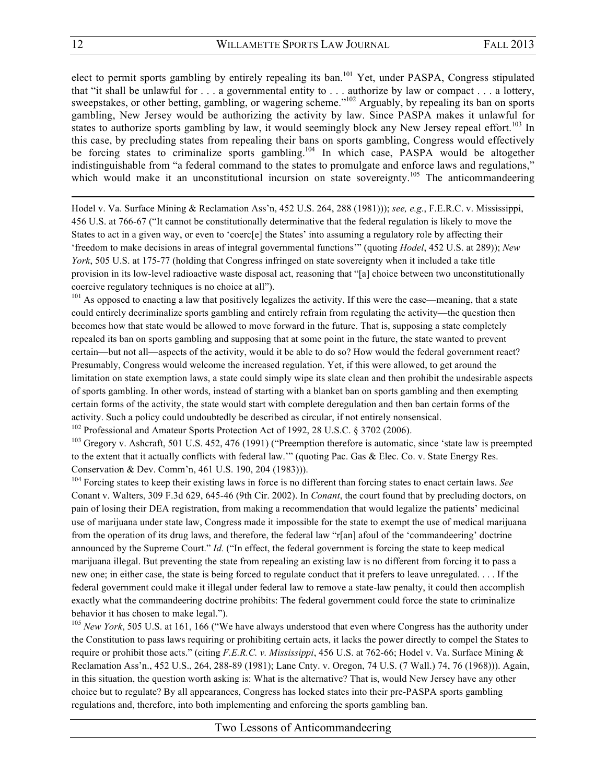elect to permit sports gambling by entirely repealing its ban.<sup>101</sup> Yet, under PASPA, Congress stipulated that "it shall be unlawful for . . . a governmental entity to . . . authorize by law or compact . . . a lottery, sweepstakes, or other betting, gambling, or wagering scheme."<sup>102</sup> Arguably, by repealing its ban on sports gambling, New Jersey would be authorizing the activity by law. Since PASPA makes it unlawful for states to authorize sports gambling by law, it would seemingly block any New Jersey repeal effort.<sup>103</sup> In this case, by precluding states from repealing their bans on sports gambling, Congress would effectively be forcing states to criminalize sports gambling.<sup>104</sup> In which case, PASPA would be altogether indistinguishable from "a federal command to the states to promulgate and enforce laws and regulations," which would make it an unconstitutional incursion on state sovereignty.<sup>105</sup> The anticommandeering

<u> 1989 - Andrea Santa Andrea Andrea Andrea Andrea Andrea Andrea Andrea Andrea Andrea Andrea Andrea Andrea Andr</u>

Hodel v. Va. Surface Mining & Reclamation Ass'n, 452 U.S. 264, 288 (1981))); *see, e.g.*, F.E.R.C. v. Mississippi, 456 U.S. at 766-67 ("It cannot be constitutionally determinative that the federal regulation is likely to move the States to act in a given way, or even to 'coerc[e] the States' into assuming a regulatory role by affecting their 'freedom to make decisions in areas of integral governmental functions'" (quoting *Hodel*, 452 U.S. at 289)); *New York*, 505 U.S. at 175-77 (holding that Congress infringed on state sovereignty when it included a take title provision in its low-level radioactive waste disposal act, reasoning that "[a] choice between two unconstitutionally coercive regulatory techniques is no choice at all").<br><sup>101</sup> As opposed to enacting a law that positively legalizes the activity. If this were the case—meaning, that a state

could entirely decriminalize sports gambling and entirely refrain from regulating the activity—the question then becomes how that state would be allowed to move forward in the future. That is, supposing a state completely repealed its ban on sports gambling and supposing that at some point in the future, the state wanted to prevent certain—but not all—aspects of the activity, would it be able to do so? How would the federal government react? Presumably, Congress would welcome the increased regulation. Yet, if this were allowed, to get around the limitation on state exemption laws, a state could simply wipe its slate clean and then prohibit the undesirable aspects of sports gambling. In other words, instead of starting with a blanket ban on sports gambling and then exempting certain forms of the activity, the state would start with complete deregulation and then ban certain forms of the activity. Such a policy could undoubtedly be described as circular, if not entirely nonsensical.

<sup>102</sup> Professional and Amateur Sports Protection Act of 1992, 28 U.S.C. § 3702 (2006).

<sup>103</sup> Gregory v. Ashcraft, 501 U.S. 452, 476 (1991) ("Preemption therefore is automatic, since 'state law is preempted to the extent that it actually conflicts with federal law.'" (quoting Pac. Gas & Elec. Co. v. State Energy Res. Conservation & Dev. Comm'n, 461 U.S. 190, 204 (1983))).

<sup>104</sup> Forcing states to keep their existing laws in force is no different than forcing states to enact certain laws. *See* Conant v. Walters, 309 F.3d 629, 645-46 (9th Cir. 2002). In *Conant*, the court found that by precluding doctors, on pain of losing their DEA registration, from making a recommendation that would legalize the patients' medicinal use of marijuana under state law, Congress made it impossible for the state to exempt the use of medical marijuana from the operation of its drug laws, and therefore, the federal law "r[an] afoul of the 'commandeering' doctrine announced by the Supreme Court." *Id.* ("In effect, the federal government is forcing the state to keep medical marijuana illegal. But preventing the state from repealing an existing law is no different from forcing it to pass a new one; in either case, the state is being forced to regulate conduct that it prefers to leave unregulated. . . . If the federal government could make it illegal under federal law to remove a state-law penalty, it could then accomplish exactly what the commandeering doctrine prohibits: The federal government could force the state to criminalize behavior it has chosen to make legal.").

<sup>105</sup> *New York*, 505 U.S. at 161, 166 ("We have always understood that even where Congress has the authority under the Constitution to pass laws requiring or prohibiting certain acts, it lacks the power directly to compel the States to require or prohibit those acts." (citing *F.E.R.C. v. Mississippi*, 456 U.S. at 762-66; Hodel v. Va. Surface Mining & Reclamation Ass'n., 452 U.S., 264, 288-89 (1981); Lane Cnty. v. Oregon, 74 U.S. (7 Wall.) 74, 76 (1968))). Again, in this situation, the question worth asking is: What is the alternative? That is, would New Jersey have any other choice but to regulate? By all appearances, Congress has locked states into their pre-PASPA sports gambling regulations and, therefore, into both implementing and enforcing the sports gambling ban.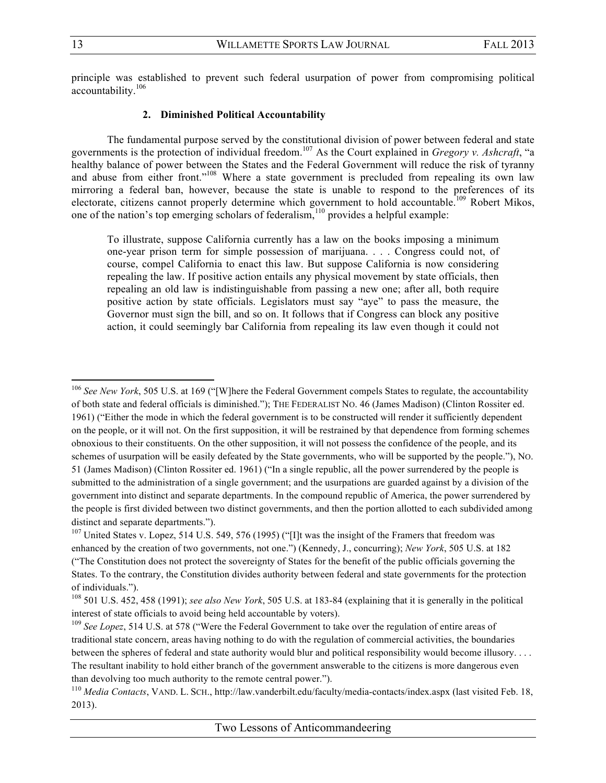principle was established to prevent such federal usurpation of power from compromising political accountability.<sup>106</sup>

## **2. Diminished Political Accountability**

The fundamental purpose served by the constitutional division of power between federal and state governments is the protection of individual freedom.<sup>107</sup> As the Court explained in *Gregory v. Ashcraft*, "a healthy balance of power between the States and the Federal Government will reduce the risk of tyranny and abuse from either front."<sup>108</sup> Where a state government is precluded from repealing its own law mirroring a federal ban, however, because the state is unable to respond to the preferences of its electorate, citizens cannot properly determine which government to hold accountable.<sup>109</sup> Robert Mikos, one of the nation's top emerging scholars of federalism, $110$  provides a helpful example:

To illustrate, suppose California currently has a law on the books imposing a minimum one-year prison term for simple possession of marijuana. . . . Congress could not, of course, compel California to enact this law. But suppose California is now considering repealing the law. If positive action entails any physical movement by state officials, then repealing an old law is indistinguishable from passing a new one; after all, both require positive action by state officials. Legislators must say "aye" to pass the measure, the Governor must sign the bill, and so on. It follows that if Congress can block any positive action, it could seemingly bar California from repealing its law even though it could not

<sup>106</sup> *See New York*, 505 U.S. at 169 ("[W]here the Federal Government compels States to regulate, the accountability of both state and federal officials is diminished."); THE FEDERALIST NO. 46 (James Madison) (Clinton Rossiter ed. 1961) ("Either the mode in which the federal government is to be constructed will render it sufficiently dependent on the people, or it will not. On the first supposition, it will be restrained by that dependence from forming schemes obnoxious to their constituents. On the other supposition, it will not possess the confidence of the people, and its schemes of usurpation will be easily defeated by the State governments, who will be supported by the people."), NO. 51 (James Madison) (Clinton Rossiter ed. 1961) ("In a single republic, all the power surrendered by the people is submitted to the administration of a single government; and the usurpations are guarded against by a division of the government into distinct and separate departments. In the compound republic of America, the power surrendered by the people is first divided between two distinct governments, and then the portion allotted to each subdivided among distinct and separate departments.").

<sup>&</sup>lt;sup>107</sup> United States v. Lopez, 514 U.S. 549, 576 (1995) ("[I]t was the insight of the Framers that freedom was enhanced by the creation of two governments, not one.") (Kennedy, J., concurring); *New York*, 505 U.S. at 182 ("The Constitution does not protect the sovereignty of States for the benefit of the public officials governing the States. To the contrary, the Constitution divides authority between federal and state governments for the protection of individuals.").

<sup>108</sup> 501 U.S. 452, 458 (1991); *see also New York*, 505 U.S. at 183-84 (explaining that it is generally in the political interest of state officials to avoid being held accountable by voters).

<sup>109</sup> *See Lopez*, 514 U.S. at 578 ("Were the Federal Government to take over the regulation of entire areas of traditional state concern, areas having nothing to do with the regulation of commercial activities, the boundaries between the spheres of federal and state authority would blur and political responsibility would become illusory. . . . The resultant inability to hold either branch of the government answerable to the citizens is more dangerous even than devolving too much authority to the remote central power.").

<sup>&</sup>lt;sup>110</sup> *Media Contacts*, VAND. L. SCH., http://law.vanderbilt.edu/faculty/media-contacts/index.aspx (last visited Feb. 18, 2013).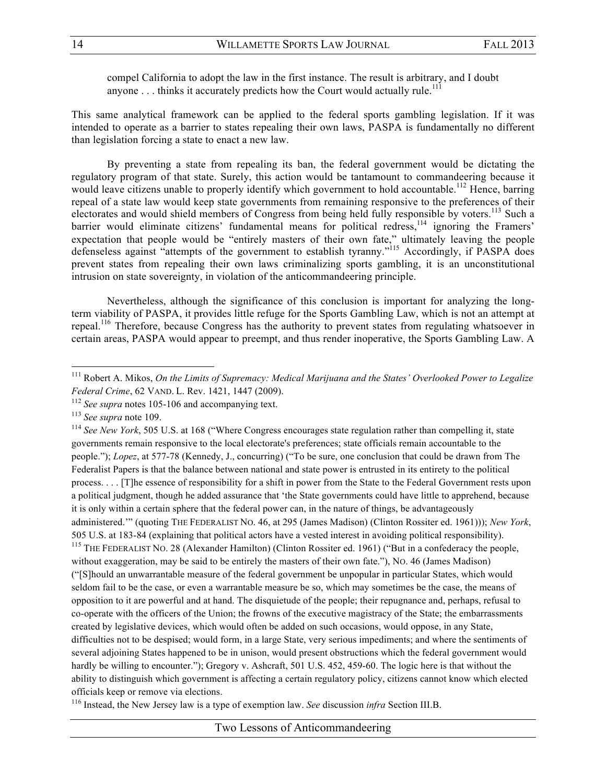compel California to adopt the law in the first instance. The result is arbitrary, and I doubt anyone  $\dots$  thinks it accurately predicts how the Court would actually rule.<sup>111</sup>

This same analytical framework can be applied to the federal sports gambling legislation. If it was intended to operate as a barrier to states repealing their own laws, PASPA is fundamentally no different than legislation forcing a state to enact a new law.

By preventing a state from repealing its ban, the federal government would be dictating the regulatory program of that state. Surely, this action would be tantamount to commandeering because it would leave citizens unable to properly identify which government to hold accountable.<sup>112</sup> Hence, barring repeal of a state law would keep state governments from remaining responsive to the preferences of their electorates and would shield members of Congress from being held fully responsible by voters.<sup>113</sup> Such a barrier would eliminate citizens' fundamental means for political redress,<sup>114</sup> ignoring the Framers' expectation that people would be "entirely masters of their own fate," ultimately leaving the people defenseless against "attempts of the government to establish tyranny."<sup>115</sup> Accordingly, if PASPA does prevent states from repealing their own laws criminalizing sports gambling, it is an unconstitutional intrusion on state sovereignty, in violation of the anticommandeering principle.

Nevertheless, although the significance of this conclusion is important for analyzing the longterm viability of PASPA, it provides little refuge for the Sports Gambling Law, which is not an attempt at repeal.116 Therefore, because Congress has the authority to prevent states from regulating whatsoever in certain areas, PASPA would appear to preempt, and thus render inoperative, the Sports Gambling Law. A

 

<sup>114</sup> *See New York*, 505 U.S. at 168 ("Where Congress encourages state regulation rather than compelling it, state governments remain responsive to the local electorate's preferences; state officials remain accountable to the people."); *Lopez*, at 577-78 (Kennedy, J., concurring) ("To be sure, one conclusion that could be drawn from The Federalist Papers is that the balance between national and state power is entrusted in its entirety to the political process. . . . [T]he essence of responsibility for a shift in power from the State to the Federal Government rests upon a political judgment, though he added assurance that 'the State governments could have little to apprehend, because it is only within a certain sphere that the federal power can, in the nature of things, be advantageously administered.'" (quoting THE FEDERALIST NO. 46, at 295 (James Madison) (Clinton Rossiter ed. 1961))); *New York*, 505 U.S. at 183-84 (explaining that political actors have a vested interest in avoiding political responsibility). <sup>115</sup> THE FEDERALIST NO. 28 (Alexander Hamilton) (Clinton Rossiter ed. 1961) ("But in a confederacy the people, without exaggeration, may be said to be entirely the masters of their own fate."), No. 46 (James Madison) ("[S]hould an unwarrantable measure of the federal government be unpopular in particular States, which would seldom fail to be the case, or even a warrantable measure be so, which may sometimes be the case, the means of opposition to it are powerful and at hand. The disquietude of the people; their repugnance and, perhaps, refusal to co-operate with the officers of the Union; the frowns of the executive magistracy of the State; the embarrassments created by legislative devices, which would often be added on such occasions, would oppose, in any State, difficulties not to be despised; would form, in a large State, very serious impediments; and where the sentiments of several adjoining States happened to be in unison, would present obstructions which the federal government would hardly be willing to encounter."); Gregory v. Ashcraft, 501 U.S. 452, 459-60. The logic here is that without the ability to distinguish which government is affecting a certain regulatory policy, citizens cannot know which elected officials keep or remove via elections.

<sup>116</sup> Instead, the New Jersey law is a type of exemption law. *See* discussion *infra* Section III.B.

<sup>111</sup> Robert A. Mikos, *On the Limits of Supremacy: Medical Marijuana and the States' Overlooked Power to Legalize Federal Crime*, 62 VAND. L. Rev. 1421, 1447 (2009).

<sup>112</sup> *See supra* notes 105-106 and accompanying text.

<sup>113</sup> *See supra* note 109.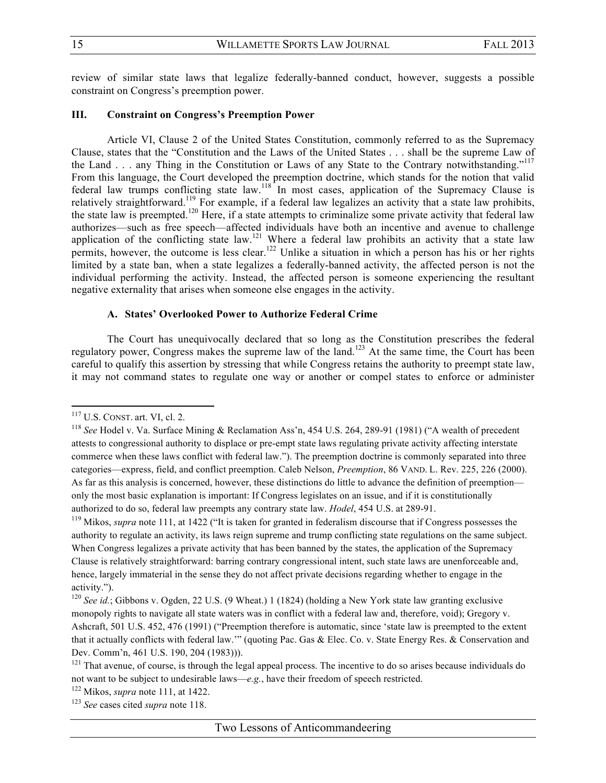review of similar state laws that legalize federally-banned conduct, however, suggests a possible constraint on Congress's preemption power.

## **III. Constraint on Congress's Preemption Power**

Article VI, Clause 2 of the United States Constitution, commonly referred to as the Supremacy Clause, states that the "Constitution and the Laws of the United States . . . shall be the supreme Law of the Land . . . any Thing in the Constitution or Laws of any State to the Contrary notwithstanding."<sup>117</sup> From this language, the Court developed the preemption doctrine, which stands for the notion that valid federal law trumps conflicting state law.<sup>118</sup> In most cases, application of the Supremacy Clause is relatively straightforward.119 For example, if a federal law legalizes an activity that a state law prohibits, the state law is preempted.<sup>120</sup> Here, if a state attempts to criminalize some private activity that federal law authorizes—such as free speech—affected individuals have both an incentive and avenue to challenge application of the conflicting state law.<sup>121</sup> Where a federal law prohibits an activity that a state law permits, however, the outcome is less clear.<sup>122</sup> Unlike a situation in which a person has his or her rights limited by a state ban, when a state legalizes a federally-banned activity, the affected person is not the individual performing the activity. Instead, the affected person is someone experiencing the resultant negative externality that arises when someone else engages in the activity.

#### **A. States' Overlooked Power to Authorize Federal Crime**

The Court has unequivocally declared that so long as the Constitution prescribes the federal regulatory power, Congress makes the supreme law of the land.<sup>123</sup> At the same time, the Court has been careful to qualify this assertion by stressing that while Congress retains the authority to preempt state law, it may not command states to regulate one way or another or compel states to enforce or administer

 

<sup>119</sup> Mikos, *supra* note 111, at 1422 ("It is taken for granted in federalism discourse that if Congress possesses the authority to regulate an activity, its laws reign supreme and trump conflicting state regulations on the same subject. When Congress legalizes a private activity that has been banned by the states, the application of the Supremacy Clause is relatively straightforward: barring contrary congressional intent, such state laws are unenforceable and, hence, largely immaterial in the sense they do not affect private decisions regarding whether to engage in the activity.").

<sup>&</sup>lt;sup>117</sup> U.S. CONST. art. VI, cl. 2.<br><sup>118</sup> *See* Hodel v. Va. Surface Mining & Reclamation Ass'n, 454 U.S. 264, 289-91 (1981) ("A wealth of precedent attests to congressional authority to displace or pre-empt state laws regulating private activity affecting interstate commerce when these laws conflict with federal law."). The preemption doctrine is commonly separated into three categories—express, field, and conflict preemption. Caleb Nelson, *Preemption*, 86 VAND. L. Rev. 225, 226 (2000). As far as this analysis is concerned, however, these distinctions do little to advance the definition of preemption only the most basic explanation is important: If Congress legislates on an issue, and if it is constitutionally authorized to do so, federal law preempts any contrary state law. *Hodel*, 454 U.S. at 289-91.

<sup>&</sup>lt;sup>120</sup> *See id.*; Gibbons v. Ogden, 22 U.S. (9 Wheat.) 1 (1824) (holding a New York state law granting exclusive monopoly rights to navigate all state waters was in conflict with a federal law and, therefore, void); Gregory v. Ashcraft, 501 U.S. 452, 476 (1991) ("Preemption therefore is automatic, since 'state law is preempted to the extent that it actually conflicts with federal law.'" (quoting Pac. Gas & Elec. Co. v. State Energy Res. & Conservation and Dev. Comm'n, 461 U.S. 190, 204 (1983))).<br><sup>121</sup> That avenue, of course, is through the legal appeal process. The incentive to do so arises because individuals do

not want to be subject to undesirable laws—*e.g.*, have their freedom of speech restricted.

<sup>122</sup> Mikos, *supra* note 111, at 1422.

<sup>123</sup> *See* cases cited *supra* note 118.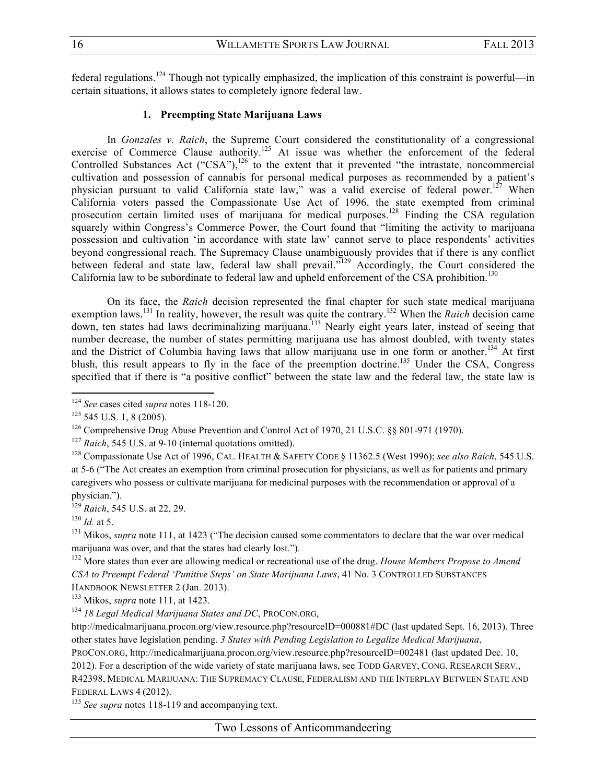federal regulations.<sup>124</sup> Though not typically emphasized, the implication of this constraint is powerful—in certain situations, it allows states to completely ignore federal law.

# **1. Preempting State Marijuana Laws**

In *Gonzales v. Raich*, the Supreme Court considered the constitutionality of a congressional exercise of Commerce Clause authority.125 At issue was whether the enforcement of the federal Controlled Substances Act ("CSA"),<sup>126</sup> to the extent that it prevented "the intrastate, noncommercial" cultivation and possession of cannabis for personal medical purposes as recommended by a patient's physician pursuant to valid California state law," was a valid exercise of federal power.<sup>127</sup> When California voters passed the Compassionate Use Act of 1996, the state exempted from criminal prosecution certain limited uses of marijuana for medical purposes.<sup>128</sup> Finding the CSA regulation squarely within Congress's Commerce Power, the Court found that "limiting the activity to marijuana possession and cultivation 'in accordance with state law' cannot serve to place respondents' activities beyond congressional reach. The Supremacy Clause unambiguously provides that if there is any conflict between federal and state law, federal law shall prevail.<sup>7129</sup> Accordingly, the Court considered the California law to be subordinate to federal law and upheld enforcement of the CSA prohibition.<sup>130</sup>

On its face, the *Raich* decision represented the final chapter for such state medical marijuana exemption laws.<sup>131</sup> In reality, however, the result was quite the contrary.132 When the *Raich* decision came down, ten states had laws decriminalizing marijuana.<sup>133</sup> Nearly eight years later, instead of seeing that number decrease, the number of states permitting marijuana use has almost doubled, with twenty states and the District of Columbia having laws that allow marijuana use in one form or another.<sup>134</sup> At first blush, this result appears to fly in the face of the preemption doctrine.<sup>135</sup> Under the CSA, Congress specified that if there is "a positive conflict" between the state law and the federal law, the state law is

 

<sup>133</sup> Mikos, *supra* note 111, at 1423.

PROCON.ORG, http://medicalmarijuana.procon.org/view.resource.php?resourceID=002481 (last updated Dec. 10, 2012). For a description of the wide variety of state marijuana laws, see TODD GARVEY, CONG. RESEARCH SERV.,

R42398, MEDICAL MARIJUANA: THE SUPREMACY CLAUSE, FEDERALISM AND THE INTERPLAY BETWEEN STATE AND FEDERAL LAWS 4 (2012).

<sup>135</sup> *See supra* notes 118-119 and accompanying text.

<sup>124</sup> *See* cases cited *supra* notes 118-120.

 $125$  545 U.S. 1, 8 (2005).

<sup>126</sup> Comprehensive Drug Abuse Prevention and Control Act of 1970, 21 U.S.C. §§ 801-971 (1970).

<sup>&</sup>lt;sup>127</sup> *Raich*, 545 U.S. at 9-10 (internal quotations omitted).<br><sup>128</sup> Compassionate Use Act of 1996, CAL. HEALTH & SAFETY CODE § 11362.5 (West 1996); *see also Raich*, 545 U.S. at 5-6 ("The Act creates an exemption from criminal prosecution for physicians, as well as for patients and primary caregivers who possess or cultivate marijuana for medicinal purposes with the recommendation or approval of a physician.").

<sup>&</sup>lt;sup>129</sup> *Raich*, 545 U.S. at 22, 29.<br><sup>130</sup> *Id.* at 5.

<sup>&</sup>lt;sup>131</sup> Mikos, *supra* note 111, at 1423 ("The decision caused some commentators to declare that the war over medical marijuana was over, and that the states had clearly lost.").

<sup>132</sup> More states than ever are allowing medical or recreational use of the drug. *House Members Propose to Amend CSA to Preempt Federal 'Punitive Steps' on State Marijuana Laws*, 41 No. 3 CONTROLLED SUBSTANCES HANDBOOK NEWSLETTER 2 (Jan. 2013).

<sup>134</sup> *18 Legal Medical Marijuana States and DC*, PROCON.ORG,

http://medicalmarijuana.procon.org/view.resource.php?resourceID=000881#DC (last updated Sept. 16, 2013). Three other states have legislation pending. *3 States with Pending Legislation to Legalize Medical Marijuana*,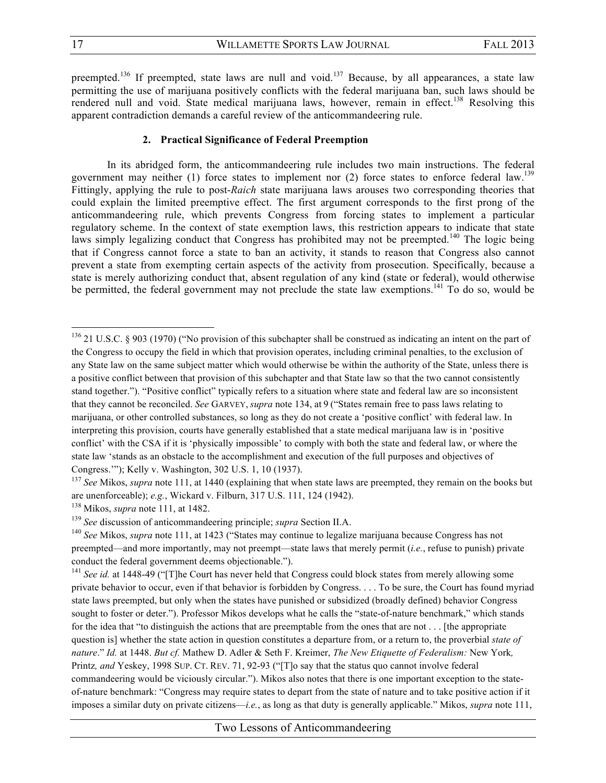preempted.<sup>136</sup> If preempted, state laws are null and void.<sup>137</sup> Because, by all appearances, a state law permitting the use of marijuana positively conflicts with the federal marijuana ban, such laws should be rendered null and void. State medical marijuana laws, however, remain in effect.<sup>138</sup> Resolving this apparent contradiction demands a careful review of the anticommandeering rule.

#### **2. Practical Significance of Federal Preemption**

In its abridged form, the anticommandeering rule includes two main instructions. The federal government may neither (1) force states to implement nor (2) force states to enforce federal law.<sup>139</sup> Fittingly, applying the rule to post-*Raich* state marijuana laws arouses two corresponding theories that could explain the limited preemptive effect. The first argument corresponds to the first prong of the anticommandeering rule, which prevents Congress from forcing states to implement a particular regulatory scheme. In the context of state exemption laws, this restriction appears to indicate that state laws simply legalizing conduct that Congress has prohibited may not be preempted.<sup>140</sup> The logic being that if Congress cannot force a state to ban an activity, it stands to reason that Congress also cannot prevent a state from exempting certain aspects of the activity from prosecution. Specifically, because a state is merely authorizing conduct that, absent regulation of any kind (state or federal), would otherwise be permitted, the federal government may not preclude the state law exemptions.<sup>141</sup> To do so, would be

are unenforceable); *e.g.*, Wickard v. Filburn, 317 U.S. 111, 124 (1942).

<sup>&</sup>lt;sup>136</sup> 21 U.S.C. § 903 (1970) ("No provision of this subchapter shall be construed as indicating an intent on the part of the Congress to occupy the field in which that provision operates, including criminal penalties, to the exclusion of any State law on the same subject matter which would otherwise be within the authority of the State, unless there is a positive conflict between that provision of this subchapter and that State law so that the two cannot consistently stand together."). "Positive conflict" typically refers to a situation where state and federal law are so inconsistent that they cannot be reconciled. *See* GARVEY, *supra* note 134, at 9 ("States remain free to pass laws relating to marijuana, or other controlled substances, so long as they do not create a 'positive conflict' with federal law. In interpreting this provision, courts have generally established that a state medical marijuana law is in 'positive conflict' with the CSA if it is 'physically impossible' to comply with both the state and federal law, or where the state law 'stands as an obstacle to the accomplishment and execution of the full purposes and objectives of Congress.'"); Kelly v. Washington, 302 U.S. 1, 10 (1937).<br><sup>137</sup> *See* Mikos, *supra* note 111, at 1440 (explaining that when state laws are preempted, they remain on the books but

<sup>&</sup>lt;sup>138</sup> Mikos, *supra* note 111, at 1482.<br><sup>139</sup> See discussion of anticommandeering principle; *supra* Section II.A.

<sup>&</sup>lt;sup>140</sup> *See* Mikos, *supra* note 111, at 1423 ("States may continue to legalize marijuana because Congress has not preempted—and more importantly, may not preempt—state laws that merely permit (*i.e.*, refuse to punish) private conduct the federal government deems objectionable.").

<sup>&</sup>lt;sup>141</sup> *See id.* at 1448-49 ("The Court has never held that Congress could block states from merely allowing some private behavior to occur, even if that behavior is forbidden by Congress. . . . To be sure, the Court has found myriad state laws preempted, but only when the states have punished or subsidized (broadly defined) behavior Congress sought to foster or deter."). Professor Mikos develops what he calls the "state-of-nature benchmark," which stands for the idea that "to distinguish the actions that are preemptable from the ones that are not . . . [the appropriate question is] whether the state action in question constitutes a departure from, or a return to, the proverbial *state of nature*." *Id.* at 1448. *But cf.* Mathew D. Adler & Seth F. Kreimer, *The New Etiquette of Federalism:* New York*,*  Printz*, and* Yeskey, 1998 SUP. CT. REV. 71, 92-93 ("[T]o say that the status quo cannot involve federal commandeering would be viciously circular."). Mikos also notes that there is one important exception to the stateof-nature benchmark: "Congress may require states to depart from the state of nature and to take positive action if it imposes a similar duty on private citizens—*i.e.*, as long as that duty is generally applicable." Mikos, *supra* note 111,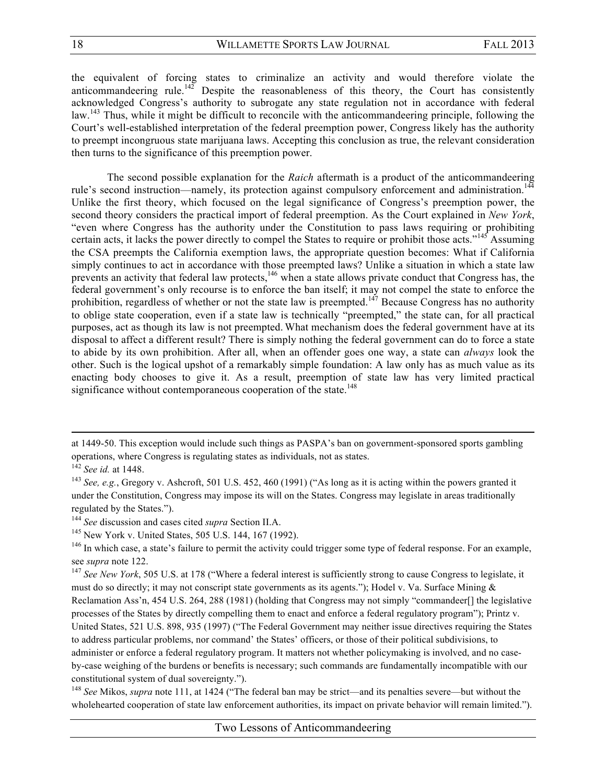the equivalent of forcing states to criminalize an activity and would therefore violate the anticommandeering rule.<sup>142</sup> Despite the reasonableness of this theory, the Court has consistently acknowledged Congress's authority to subrogate any state regulation not in accordance with federal law.<sup>143</sup> Thus, while it might be difficult to reconcile with the anticommandeering principle, following the Court's well-established interpretation of the federal preemption power, Congress likely has the authority to preempt incongruous state marijuana laws. Accepting this conclusion as true, the relevant consideration then turns to the significance of this preemption power.

The second possible explanation for the *Raich* aftermath is a product of the anticommandeering rule's second instruction—namely, its protection against compulsory enforcement and administration.<sup>14</sup> Unlike the first theory, which focused on the legal significance of Congress's preemption power, the second theory considers the practical import of federal preemption. As the Court explained in *New York*, "even where Congress has the authority under the Constitution to pass laws requiring or prohibiting certain acts, it lacks the power directly to compel the States to require or prohibit those acts."<sup>145</sup> Assuming the CSA preempts the California exemption laws, the appropriate question becomes: What if California simply continues to act in accordance with those preempted laws? Unlike a situation in which a state law prevents an activity that federal law protects,<sup>146</sup> when a state allows private conduct that Congress has, the federal government's only recourse is to enforce the ban itself; it may not compel the state to enforce the prohibition, regardless of whether or not the state law is preempted.<sup>147</sup> Because Congress has no authority to oblige state cooperation, even if a state law is technically "preempted," the state can, for all practical purposes, act as though its law is not preempted. What mechanism does the federal government have at its disposal to affect a different result? There is simply nothing the federal government can do to force a state to abide by its own prohibition. After all, when an offender goes one way, a state can *always* look the other. Such is the logical upshot of a remarkably simple foundation: A law only has as much value as its enacting body chooses to give it. As a result, preemption of state law has very limited practical significance without contemporaneous cooperation of the state.<sup>148</sup>

<u> 1989 - Andrea Santa Andrea Andrea Andrea Andrea Andrea Andrea Andrea Andrea Andrea Andrea Andrea Andrea Andr</u>

at 1449-50. This exception would include such things as PASPA's ban on government-sponsored sports gambling operations, where Congress is regulating states as individuals, not as states.

<sup>142</sup> *See id.* at 1448.

<sup>143</sup> *See, e.g.*, Gregory v. Ashcroft, 501 U.S. 452, 460 (1991) ("As long as it is acting within the powers granted it under the Constitution, Congress may impose its will on the States. Congress may legislate in areas traditionally regulated by the States.").

<sup>144</sup> *See* discussion and cases cited *supra* Section II.A.

<sup>145</sup> New York v. United States, 505 U.S. 144, 167 (1992).

<sup>&</sup>lt;sup>146</sup> In which case, a state's failure to permit the activity could trigger some type of federal response. For an example, see *supra* note 122.

<sup>&</sup>lt;sup>147</sup> *See New York*, 505 U.S. at 178 ("Where a federal interest is sufficiently strong to cause Congress to legislate, it must do so directly; it may not conscript state governments as its agents."); Hodel v. Va. Surface Mining  $\&$ Reclamation Ass'n, 454 U.S. 264, 288 (1981) (holding that Congress may not simply "commandeer[] the legislative processes of the States by directly compelling them to enact and enforce a federal regulatory program"); Printz v. United States, 521 U.S. 898, 935 (1997) ("The Federal Government may neither issue directives requiring the States to address particular problems, nor command' the States' officers, or those of their political subdivisions, to administer or enforce a federal regulatory program. It matters not whether policymaking is involved, and no caseby-case weighing of the burdens or benefits is necessary; such commands are fundamentally incompatible with our constitutional system of dual sovereignty.").

<sup>148</sup> *See* Mikos, *supra* note 111, at 1424 ("The federal ban may be strict—and its penalties severe—but without the wholehearted cooperation of state law enforcement authorities, its impact on private behavior will remain limited.").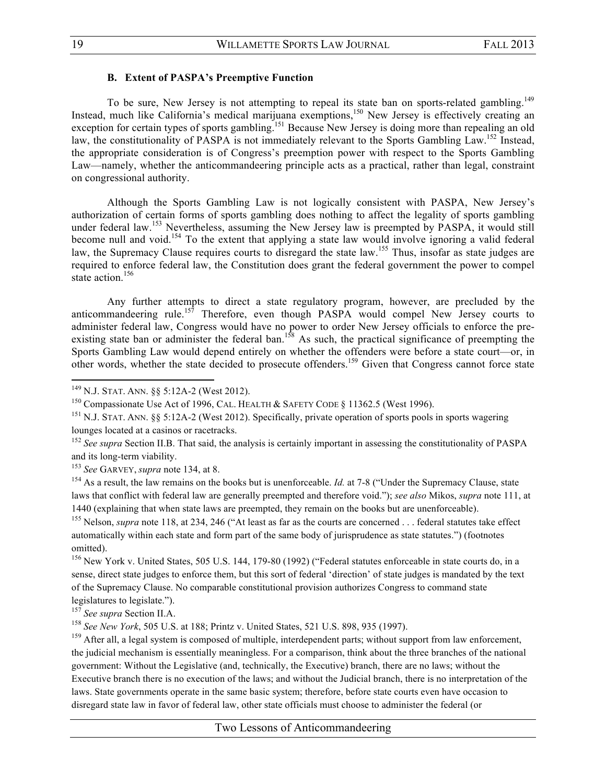#### **B. Extent of PASPA's Preemptive Function**

To be sure, New Jersey is not attempting to repeal its state ban on sports-related gambling.<sup>149</sup> Instead, much like California's medical marijuana exemptions,<sup>150</sup> New Jersey is effectively creating an exception for certain types of sports gambling.<sup>151</sup> Because New Jersey is doing more than repealing an old law, the constitutionality of PASPA is not immediately relevant to the Sports Gambling Law.<sup>152</sup> Instead, the appropriate consideration is of Congress's preemption power with respect to the Sports Gambling Law—namely, whether the anticommandeering principle acts as a practical, rather than legal, constraint on congressional authority.

Although the Sports Gambling Law is not logically consistent with PASPA, New Jersey's authorization of certain forms of sports gambling does nothing to affect the legality of sports gambling under federal law.<sup>153</sup> Nevertheless, assuming the New Jersey law is preempted by PASPA, it would still become null and void.<sup>154</sup> To the extent that applying a state law would involve ignoring a valid federal law, the Supremacy Clause requires courts to disregard the state law.<sup>155</sup> Thus, insofar as state judges are required to enforce federal law, the Constitution does grant the federal government the power to compel state action.<sup>156</sup>

Any further attempts to direct a state regulatory program, however, are precluded by the anticommandeering rule.<sup>157</sup> Therefore, even though PASPA would compel New Jersey courts to administer federal law, Congress would have no power to order New Jersey officials to enforce the preexisting state ban or administer the federal ban.<sup>158</sup> As such, the practical significance of preempting the Sports Gambling Law would depend entirely on whether the offenders were before a state court—or, in other words, whether the state decided to prosecute offenders.<sup>159</sup> Given that Congress cannot force state

 

<sup>153</sup> *See* GARVEY, *supra* note 134, at 8.<br><sup>154</sup> As a result, the law remains on the books but is unenforceable. *Id.* at 7-8 ("Under the Supremacy Clause, state laws that conflict with federal law are generally preempted and therefore void."); *see also* Mikos, *supra* note 111, at 1440 (explaining that when state laws are preempted, they remain on the books but are unenforceable).

<sup>155</sup> Nelson, *supra* note 118, at 234, 246 ("At least as far as the courts are concerned . . . federal statutes take effect automatically within each state and form part of the same body of jurisprudence as state statutes.") (footnotes omitted).

<sup>156</sup> New York v. United States, 505 U.S. 144, 179-80 (1992) ("Federal statutes enforceable in state courts do, in a sense, direct state judges to enforce them, but this sort of federal 'direction' of state judges is mandated by the text of the Supremacy Clause. No comparable constitutional provision authorizes Congress to command state legislatures to legislate.").

<sup>157</sup> *See supra* Section II.A.

<sup>158</sup> *See New York*, 505 U.S. at 188; Printz v. United States, 521 U.S. 898, 935 (1997).

<sup>159</sup> After all, a legal system is composed of multiple, interdependent parts; without support from law enforcement, the judicial mechanism is essentially meaningless. For a comparison, think about the three branches of the national government: Without the Legislative (and, technically, the Executive) branch, there are no laws; without the Executive branch there is no execution of the laws; and without the Judicial branch, there is no interpretation of the laws. State governments operate in the same basic system; therefore, before state courts even have occasion to disregard state law in favor of federal law, other state officials must choose to administer the federal (or

<sup>149</sup> N.J. STAT. ANN. §§ 5:12A-2 (West 2012).

<sup>&</sup>lt;sup>150</sup> Compassionate Use Act of 1996, CAL. HEALTH  $&$  SAFETY CODE  $&$  11362.5 (West 1996).

<sup>&</sup>lt;sup>151</sup> N.J. STAT. ANN. §§ 5:12A-2 (West 2012). Specifically, private operation of sports pools in sports wagering lounges located at a casinos or racetracks.

<sup>&</sup>lt;sup>152</sup> See supra Section II.B. That said, the analysis is certainly important in assessing the constitutionality of PASPA and its long-term viability.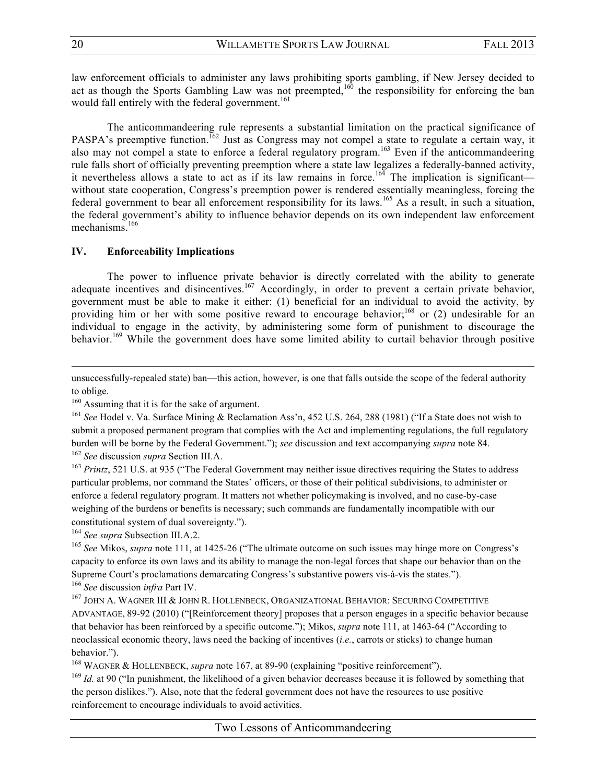law enforcement officials to administer any laws prohibiting sports gambling, if New Jersey decided to act as though the Sports Gambling Law was not preempted,<sup>160</sup> the responsibility for enforcing the ban would fall entirely with the federal government.<sup>161</sup>

The anticommandeering rule represents a substantial limitation on the practical significance of PASPA's preemptive function.<sup>162</sup> Just as Congress may not compel a state to regulate a certain way, it also may not compel a state to enforce a federal regulatory program.<sup>163</sup> Even if the anticommandeering rule falls short of officially preventing preemption where a state law legalizes a federally-banned activity, it nevertheless allows a state to act as if its law remains in force.<sup>164</sup> The implication is significant without state cooperation, Congress's preemption power is rendered essentially meaningless, forcing the federal government to bear all enforcement responsibility for its laws.<sup>165</sup> As a result, in such a situation, the federal government's ability to influence behavior depends on its own independent law enforcement mechanisms.<sup>166</sup>

# **IV. Enforceability Implications**

The power to influence private behavior is directly correlated with the ability to generate adequate incentives and disincentives.<sup>167</sup> Accordingly, in order to prevent a certain private behavior, government must be able to make it either: (1) beneficial for an individual to avoid the activity, by providing him or her with some positive reward to encourage behavior;<sup>168</sup> or (2) undesirable for an individual to engage in the activity, by administering some form of punishment to discourage the behavior.<sup>169</sup> While the government does have some limited ability to curtail behavior through positive

<u> 1989 - Andrea Santa Andrea Andrea Andrea Andrea Andrea Andrea Andrea Andrea Andrea Andrea Andrea Andrea Andr</u>

<sup>163</sup> *Printz*, 521 U.S. at 935 ("The Federal Government may neither issue directives requiring the States to address particular problems, nor command the States' officers, or those of their political subdivisions, to administer or enforce a federal regulatory program. It matters not whether policymaking is involved, and no case-by-case weighing of the burdens or benefits is necessary; such commands are fundamentally incompatible with our constitutional system of dual sovereignty.").

<sup>164</sup> *See supra* Subsection III.A.2.

<sup>165</sup> See Mikos, *supra* note 111, at 1425-26 ("The ultimate outcome on such issues may hinge more on Congress's capacity to enforce its own laws and its ability to manage the non-legal forces that shape our behavior than on the Supreme Court's proclamations demarcating Congress's substantive powers vis-à-vis the states."). <sup>166</sup> *See* discussion *infra* Part IV.

<sup>167</sup> JOHN A. WAGNER III & JOHN R. HOLLENBECK, ORGANIZATIONAL BEHAVIOR: SECURING COMPETITIVE ADVANTAGE, 89-92 (2010) ("[Reinforcement theory] proposes that a person engages in a specific behavior because that behavior has been reinforced by a specific outcome."); Mikos, *supra* note 111, at 1463-64 ("According to neoclassical economic theory, laws need the backing of incentives (*i.e.*, carrots or sticks) to change human behavior.").

<sup>168</sup> WAGNER & HOLLENBECK, *supra* note 167, at 89-90 (explaining "positive reinforcement").<br><sup>169</sup> *Id.* at 90 ("In punishment, the likelihood of a given behavior decreases because it is followed by something that the person dislikes."). Also, note that the federal government does not have the resources to use positive reinforcement to encourage individuals to avoid activities.

unsuccessfully-repealed state) ban—this action, however, is one that falls outside the scope of the federal authority to oblige.

<sup>&</sup>lt;sup>160</sup> Assuming that it is for the sake of argument.

<sup>161</sup> *See* Hodel v. Va. Surface Mining & Reclamation Ass'n, 452 U.S. 264, 288 (1981) ("If a State does not wish to submit a proposed permanent program that complies with the Act and implementing regulations, the full regulatory burden will be borne by the Federal Government."); *see* discussion and text accompanying *supra* note 84. <sup>162</sup> *See* discussion *supra* Section III.A.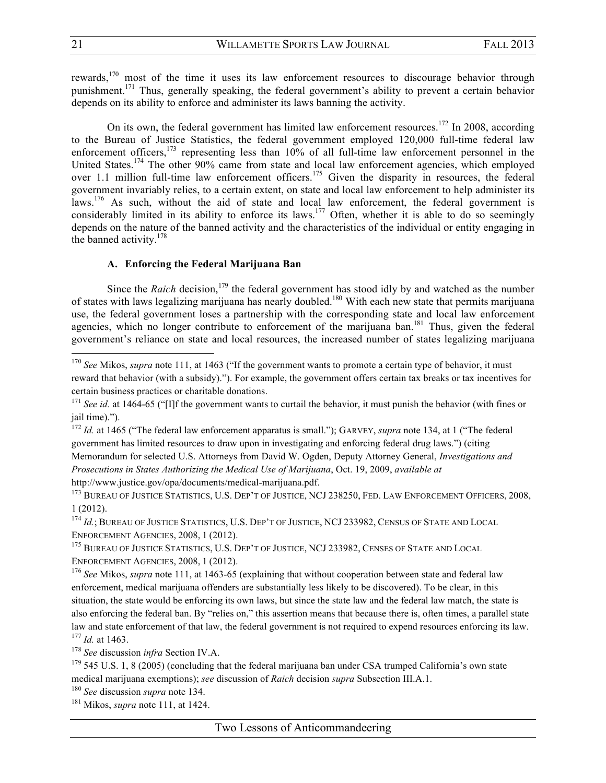rewards,<sup>170</sup> most of the time it uses its law enforcement resources to discourage behavior through punishment.<sup>171</sup> Thus, generally speaking, the federal government's ability to prevent a certain behavior depends on its ability to enforce and administer its laws banning the activity.

On its own, the federal government has limited law enforcement resources.<sup>172</sup> In 2008, according to the Bureau of Justice Statistics, the federal government employed 120,000 full-time federal law enforcement officers, $173$  representing less than 10% of all full-time law enforcement personnel in the United States.<sup>174</sup> The other 90% came from state and local law enforcement agencies, which employed over 1.1 million full-time law enforcement officers.<sup>175</sup> Given the disparity in resources, the federal government invariably relies, to a certain extent, on state and local law enforcement to help administer its laws.<sup>176</sup> As such, without the aid of state and local law enforcement, the federal government is considerably limited in its ability to enforce its laws.<sup>177</sup> Often, whether it is able to do so seemingly depends on the nature of the banned activity and the characteristics of the individual or entity engaging in the banned activity.<sup>178</sup>

# **A. Enforcing the Federal Marijuana Ban**

Since the *Raich* decision,<sup>179</sup> the federal government has stood idly by and watched as the number of states with laws legalizing marijuana has nearly doubled.<sup>180</sup> With each new state that permits marijuana use, the federal government loses a partnership with the corresponding state and local law enforcement agencies, which no longer contribute to enforcement of the marijuana ban.<sup>181</sup> Thus, given the federal government's reliance on state and local resources, the increased number of states legalizing marijuana

<sup>173</sup> BUREAU OF JUSTICE STATISTICS, U.S. DEP'T OF JUSTICE, NCJ 238250, FED. LAW ENFORCEMENT OFFICERS, 2008, 1 (2012).

<sup>174</sup> *Id.*; BUREAU OF JUSTICE STATISTICS, U.S. DEP'T OF JUSTICE, NCJ 233982, CENSUS OF STATE AND LOCAL ENFORCEMENT AGENCIES, 2008, 1 (2012).

<sup>175</sup> BUREAU OF JUSTICE STATISTICS, U.S. DEP'T OF JUSTICE, NCJ 233982, CENSES OF STATE AND LOCAL ENFORCEMENT AGENCIES, 2008, 1 (2012).

<sup>176</sup> *See* Mikos, *supra* note 111, at 1463-65 (explaining that without cooperation between state and federal law enforcement, medical marijuana offenders are substantially less likely to be discovered). To be clear, in this situation, the state would be enforcing its own laws, but since the state law and the federal law match, the state is also enforcing the federal ban. By "relies on," this assertion means that because there is, often times, a parallel state law and state enforcement of that law, the federal government is not required to expend resources enforcing its law. <sup>177</sup> *Id.* at 1463.

<sup>178</sup> *See* discussion *infra* Section IV.A.

<sup>&</sup>lt;sup>170</sup> *See* Mikos, *supra* note 111, at 1463 ("If the government wants to promote a certain type of behavior, it must reward that behavior (with a subsidy)."). For example, the government offers certain tax breaks or tax incentives for certain business practices or charitable donations.

<sup>&</sup>lt;sup>171</sup> *See id.* at 1464-65 ("IIf the government wants to curtail the behavior, it must punish the behavior (with fines or jail time).").

<sup>172</sup> *Id.* at 1465 ("The federal law enforcement apparatus is small."); GARVEY, *supra* note 134, at 1 ("The federal government has limited resources to draw upon in investigating and enforcing federal drug laws.") (citing Memorandum for selected U.S. Attorneys from David W. Ogden, Deputy Attorney General, *Investigations and Prosecutions in States Authorizing the Medical Use of Marijuana*, Oct. 19, 2009, *available at* http://www.justice.gov/opa/documents/medical-marijuana.pdf.

 $179$  545 U.S. 1, 8 (2005) (concluding that the federal marijuana ban under CSA trumped California's own state medical marijuana exemptions); *see* discussion of *Raich* decision *supra* Subsection III.A.1.

<sup>180</sup> *See* discussion *supra* note 134.

<sup>181</sup> Mikos, *supra* note 111, at 1424.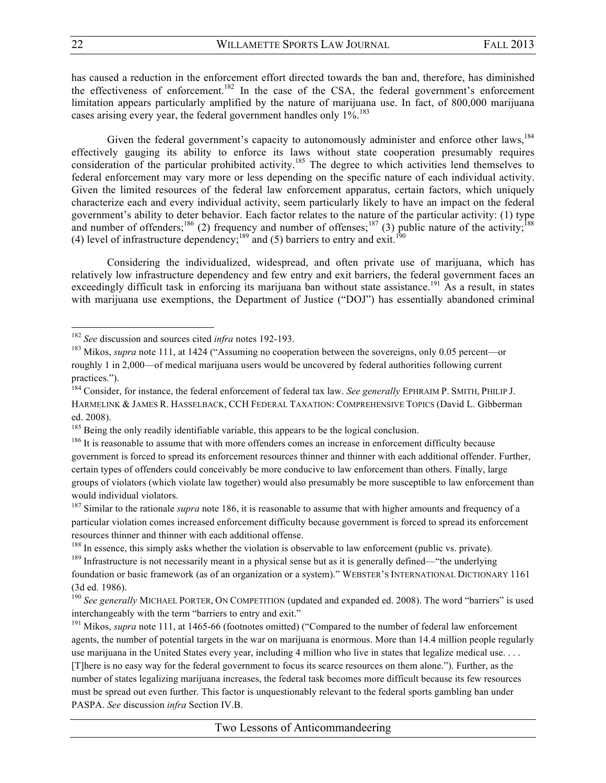has caused a reduction in the enforcement effort directed towards the ban and, therefore, has diminished the effectiveness of enforcement.<sup>182</sup> In the case of the CSA, the federal government's enforcement limitation appears particularly amplified by the nature of marijuana use. In fact, of 800,000 marijuana cases arising every year, the federal government handles only  $1\%$ .<sup>183</sup>

Given the federal government's capacity to autonomously administer and enforce other laws,  $184$ effectively gauging its ability to enforce its laws without state cooperation presumably requires consideration of the particular prohibited activity.<sup>185</sup> The degree to which activities lend themselves to federal enforcement may vary more or less depending on the specific nature of each individual activity. Given the limited resources of the federal law enforcement apparatus, certain factors, which uniquely characterize each and every individual activity, seem particularly likely to have an impact on the federal government's ability to deter behavior. Each factor relates to the nature of the particular activity: (1) type and number of offenders;<sup>186</sup> (2) frequency and number of offenses;<sup>187</sup> (3) public nature of the activity;<sup>188</sup> (4) level of infrastructure dependency;<sup>189</sup> and (5) barriers to entry and exit.<sup>190</sup>

Considering the individualized, widespread, and often private use of marijuana, which has relatively low infrastructure dependency and few entry and exit barriers, the federal government faces an exceedingly difficult task in enforcing its marijuana ban without state assistance.<sup>191</sup> As a result, in states with marijuana use exemptions, the Department of Justice ("DOJ") has essentially abandoned criminal

<sup>182</sup> *See* discussion and sources cited *infra* notes 192-193.

<sup>183</sup> Mikos, *supra* note 111, at 1424 ("Assuming no cooperation between the sovereigns, only 0.05 percent—or roughly 1 in 2,000—of medical marijuana users would be uncovered by federal authorities following current practices.").

<sup>184</sup> Consider, for instance, the federal enforcement of federal tax law. *See generally* EPHRAIM P. SMITH, PHILIP J. HARMELINK & JAMES R. HASSELBACK, CCH FEDERAL TAXATION: COMPREHENSIVE TOPICS (David L. Gibberman ed. 2008).

<sup>&</sup>lt;sup>185</sup> Being the only readily identifiable variable, this appears to be the logical conclusion.  $186$  It is reasonable to assume that with more offenders comes an increase in enforcement difficulty because government is forced to spread its enforcement resources thinner and thinner with each additional offender. Further, certain types of offenders could conceivably be more conducive to law enforcement than others. Finally, large groups of violators (which violate law together) would also presumably be more susceptible to law enforcement than would individual violators.

<sup>&</sup>lt;sup>187</sup> Similar to the rationale *supra* note 186, it is reasonable to assume that with higher amounts and frequency of a particular violation comes increased enforcement difficulty because government is forced to spread its enforcement resources thinner and thinner with each additional offense.

<sup>&</sup>lt;sup>188</sup> In essence, this simply asks whether the violation is observable to law enforcement (public vs. private).

<sup>&</sup>lt;sup>189</sup> Infrastructure is not necessarily meant in a physical sense but as it is generally defined—"the underlying foundation or basic framework (as of an organization or a system)." WEBSTER'S INTERNATIONAL DICTIONARY 1161 (3d ed. 1986).

<sup>&</sup>lt;sup>190</sup> See generally MICHAEL PORTER, ON COMPETITION (updated and expanded ed. 2008). The word "barriers" is used interchangeably with the term "barriers to entry and exit."

<sup>&</sup>lt;sup>191</sup> Mikos, *supra* note 111, at 1465-66 (footnotes omitted) ("Compared to the number of federal law enforcement" agents, the number of potential targets in the war on marijuana is enormous. More than 14.4 million people regularly use marijuana in the United States every year, including 4 million who live in states that legalize medical use. . . . [T]here is no easy way for the federal government to focus its scarce resources on them alone."). Further, as the number of states legalizing marijuana increases, the federal task becomes more difficult because its few resources must be spread out even further. This factor is unquestionably relevant to the federal sports gambling ban under PASPA. *See* discussion *infra* Section IV.B.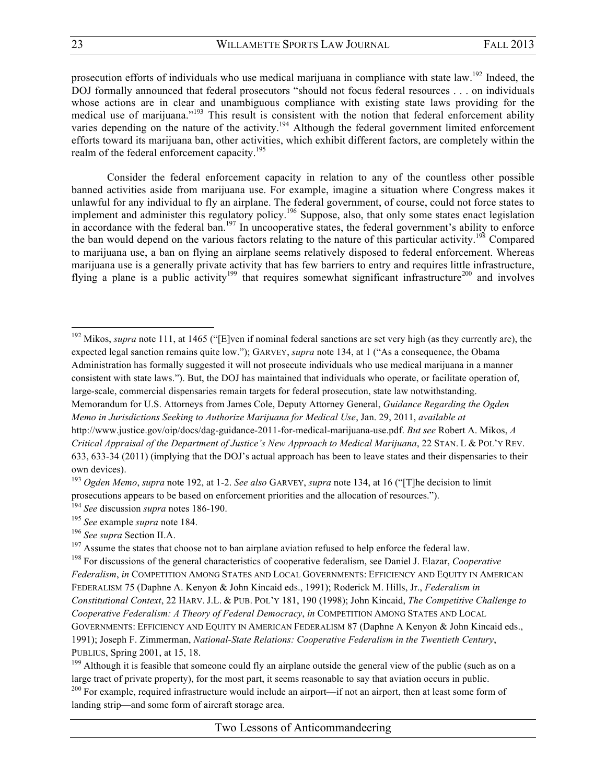prosecution efforts of individuals who use medical marijuana in compliance with state law.192 Indeed, the DOJ formally announced that federal prosecutors "should not focus federal resources . . . on individuals whose actions are in clear and unambiguous compliance with existing state laws providing for the medical use of marijuana."<sup>193</sup> This result is consistent with the notion that federal enforcement ability varies depending on the nature of the activity.<sup>194</sup> Although the federal government limited enforcement efforts toward its marijuana ban, other activities, which exhibit different factors, are completely within the realm of the federal enforcement capacity.<sup>195</sup>

Consider the federal enforcement capacity in relation to any of the countless other possible banned activities aside from marijuana use. For example, imagine a situation where Congress makes it unlawful for any individual to fly an airplane. The federal government, of course, could not force states to implement and administer this regulatory policy.<sup>196</sup> Suppose, also, that only some states enact legislation in accordance with the federal ban.<sup>197</sup> In uncooperative states, the federal government's ability to enforce the ban would depend on the various factors relating to the nature of this particular activity.<sup>198</sup> Compared to marijuana use, a ban on flying an airplane seems relatively disposed to federal enforcement. Whereas marijuana use is a generally private activity that has few barriers to entry and requires little infrastructure, flying a plane is a public activity<sup>199</sup> that requires somewhat significant infrastructure<sup>200</sup> and involves

<sup>192</sup> Mikos, *supra* note 111, at 1465 ("[E]ven if nominal federal sanctions are set very high (as they currently are), the expected legal sanction remains quite low."); GARVEY, *supra* note 134, at 1 ("As a consequence, the Obama Administration has formally suggested it will not prosecute individuals who use medical marijuana in a manner consistent with state laws."). But, the DOJ has maintained that individuals who operate, or facilitate operation of, large-scale, commercial dispensaries remain targets for federal prosecution, state law notwithstanding. Memorandum for U.S. Attorneys from James Cole, Deputy Attorney General, *Guidance Regarding the Ogden Memo in Jurisdictions Seeking to Authorize Marijuana for Medical Use*, Jan. 29, 2011, *available at*

http://www.justice.gov/oip/docs/dag-guidance-2011-for-medical-marijuana-use.pdf. *But see* Robert A. Mikos, *A Critical Appraisal of the Department of Justice's New Approach to Medical Marijuana*, 22 STAN. L & POL'Y REV. 633, 633-34 (2011) (implying that the DOJ's actual approach has been to leave states and their dispensaries to their own devices).

<sup>193</sup> *Ogden Memo*, *supra* note 192, at 1-2. *See also* GARVEY, *supra* note 134, at 16 ("[T]he decision to limit prosecutions appears to be based on enforcement priorities and the allocation of resources.").

<sup>194</sup> *See* discussion *supra* notes 186-190.

<sup>195</sup> *See* example *supra* note 184.

<sup>&</sup>lt;sup>196</sup> *See supra* Section II.A.<br><sup>197</sup> Assume the states that choose not to ban airplane aviation refused to help enforce the federal law.

<sup>198</sup> For discussions of the general characteristics of cooperative federalism, see Daniel J. Elazar, *Cooperative Federalism*, *in* COMPETITION AMONG STATES AND LOCAL GOVERNMENTS: EFFICIENCY AND EQUITY IN AMERICAN FEDERALISM 75 (Daphne A. Kenyon & John Kincaid eds., 1991); Roderick M. Hills, Jr., *Federalism in Constitutional Context*, 22 HARV. J.L. & PUB. POL'Y 181, 190 (1998); John Kincaid, *The Competitive Challenge to Cooperative Federalism: A Theory of Federal Democracy*, *in* COMPETITION AMONG STATES AND LOCAL GOVERNMENTS: EFFICIENCY AND EQUITY IN AMERICAN FEDERALISM 87 (Daphne A Kenyon & John Kincaid eds., 1991); Joseph F. Zimmerman, *National-State Relations: Cooperative Federalism in the Twentieth Century*, PUBLIUS, Spring 2001, at 15, 18.

 $199$  Although it is feasible that someone could fly an airplane outside the general view of the public (such as on a large tract of private property), for the most part, it seems reasonable to say that aviation occurs in public.

<sup>&</sup>lt;sup>200</sup> For example, required infrastructure would include an airport—if not an airport, then at least some form of landing strip—and some form of aircraft storage area.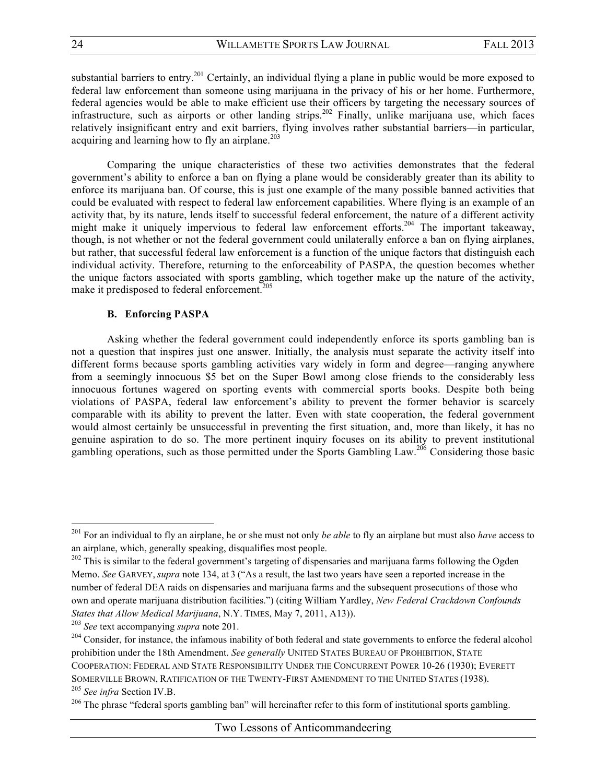substantial barriers to entry.<sup>201</sup> Certainly, an individual flying a plane in public would be more exposed to federal law enforcement than someone using marijuana in the privacy of his or her home. Furthermore, federal agencies would be able to make efficient use their officers by targeting the necessary sources of infrastructure, such as airports or other landing strips.<sup>202</sup> Finally, unlike marijuana use, which faces relatively insignificant entry and exit barriers, flying involves rather substantial barriers—in particular, acquiring and learning how to fly an airplane. $203$ 

Comparing the unique characteristics of these two activities demonstrates that the federal government's ability to enforce a ban on flying a plane would be considerably greater than its ability to enforce its marijuana ban. Of course, this is just one example of the many possible banned activities that could be evaluated with respect to federal law enforcement capabilities. Where flying is an example of an activity that, by its nature, lends itself to successful federal enforcement, the nature of a different activity might make it uniquely impervious to federal law enforcement efforts.<sup>204</sup> The important takeaway, though, is not whether or not the federal government could unilaterally enforce a ban on flying airplanes, but rather, that successful federal law enforcement is a function of the unique factors that distinguish each individual activity. Therefore, returning to the enforceability of PASPA, the question becomes whether the unique factors associated with sports gambling, which together make up the nature of the activity, make it predisposed to federal enforcement.<sup>205</sup>

# **B. Enforcing PASPA**

Asking whether the federal government could independently enforce its sports gambling ban is not a question that inspires just one answer. Initially, the analysis must separate the activity itself into different forms because sports gambling activities vary widely in form and degree—ranging anywhere from a seemingly innocuous \$5 bet on the Super Bowl among close friends to the considerably less innocuous fortunes wagered on sporting events with commercial sports books. Despite both being violations of PASPA, federal law enforcement's ability to prevent the former behavior is scarcely comparable with its ability to prevent the latter. Even with state cooperation, the federal government would almost certainly be unsuccessful in preventing the first situation, and, more than likely, it has no genuine aspiration to do so. The more pertinent inquiry focuses on its ability to prevent institutional gambling operations, such as those permitted under the Sports Gambling Law.<sup>206</sup> Considering those basic

<sup>201</sup> For an individual to fly an airplane, he or she must not only *be able* to fly an airplane but must also *have* access to an airplane, which, generally speaking, disqualifies most people.

 $202$  This is similar to the federal government's targeting of dispensaries and marijuana farms following the Ogden Memo. *See* GARVEY, *supra* note 134, at 3 ("As a result, the last two years have seen a reported increase in the number of federal DEA raids on dispensaries and marijuana farms and the subsequent prosecutions of those who own and operate marijuana distribution facilities.") (citing William Yardley, *New Federal Crackdown Confounds States that Allow Medical Marijuana*, N.Y. TIMES, May 7, 2011, A13)).

<sup>203</sup> *See* text accompanying *supra* note 201.

<sup>&</sup>lt;sup>204</sup> Consider, for instance, the infamous inability of both federal and state governments to enforce the federal alcohol prohibition under the 18th Amendment. *See generally* UNITED STATES BUREAU OF PROHIBITION, STATE COOPERATION: FEDERAL AND STATE RESPONSIBILITY UNDER THE CONCURRENT POWER 10-26 (1930); EVERETT SOMERVILLE BROWN, RATIFICATION OF THE TWENTY-FIRST AMENDMENT TO THE UNITED STATES (1938). <sup>205</sup> *See infra* Section IV.B.

<sup>&</sup>lt;sup>206</sup> The phrase "federal sports gambling ban" will hereinafter refer to this form of institutional sports gambling.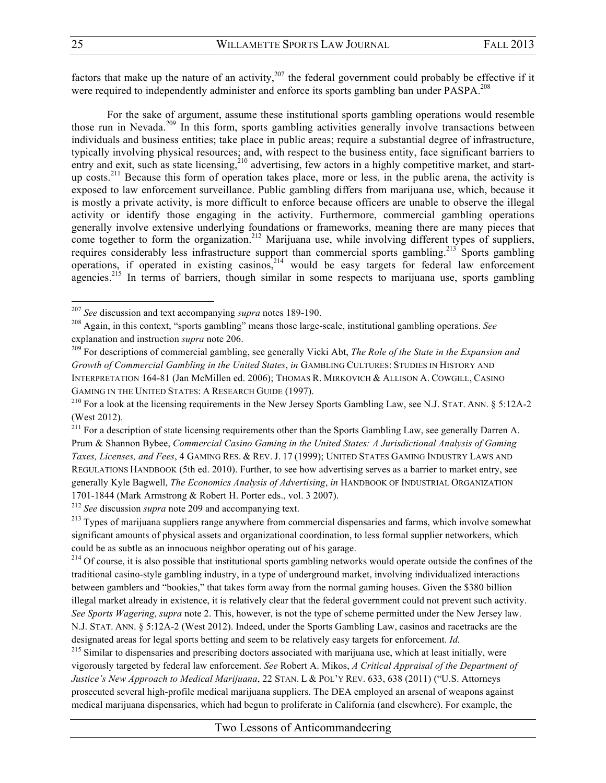factors that make up the nature of an activity,<sup>207</sup> the federal government could probably be effective if it were required to independently administer and enforce its sports gambling ban under PASPA.<sup>208</sup>

For the sake of argument, assume these institutional sports gambling operations would resemble those run in Nevada.<sup>209</sup> In this form, sports gambling activities generally involve transactions between individuals and business entities; take place in public areas; require a substantial degree of infrastructure, typically involving physical resources; and, with respect to the business entity, face significant barriers to entry and exit, such as state licensing,<sup>210</sup> advertising, few actors in a highly competitive market, and startup costs.<sup>211</sup> Because this form of operation takes place, more or less, in the public arena, the activity is exposed to law enforcement surveillance. Public gambling differs from marijuana use, which, because it is mostly a private activity, is more difficult to enforce because officers are unable to observe the illegal activity or identify those engaging in the activity. Furthermore, commercial gambling operations generally involve extensive underlying foundations or frameworks, meaning there are many pieces that come together to form the organization.<sup>212</sup> Marijuana use, while involving different types of suppliers, requires considerably less infrastructure support than commercial sports gambling.<sup>213</sup> Sports gambling operations, if operated in existing casinos,<sup>214</sup> would be easy targets for federal law enforcement agencies.<sup>215</sup> In terms of barriers, though similar in some respects to marijuana use, sports gambling

 

<sup>212</sup> *See* discussion *supra* note 209 and accompanying text.

<sup>213</sup> Types of marijuana suppliers range anywhere from commercial dispensaries and farms, which involve somewhat significant amounts of physical assets and organizational coordination, to less formal supplier networkers, which could be as subtle as an innocuous neighbor operating out of his garage.<br><sup>214</sup> Of course, it is also possible that institutional sports gambling networks would operate outside the confines of the

traditional casino-style gambling industry, in a type of underground market, involving individualized interactions between gamblers and "bookies," that takes form away from the normal gaming houses. Given the \$380 billion illegal market already in existence, it is relatively clear that the federal government could not prevent such activity. *See Sports Wagering*, *supra* note 2. This, however, is not the type of scheme permitted under the New Jersey law. N.J. STAT. ANN. § 5:12A-2 (West 2012). Indeed, under the Sports Gambling Law, casinos and racetracks are the designated areas for legal sports betting and seem to be relatively easy targets for enforcement. *Id.*

<sup>215</sup> Similar to dispensaries and prescribing doctors associated with marijuana use, which at least initially, were vigorously targeted by federal law enforcement. *See* Robert A. Mikos, *A Critical Appraisal of the Department of Justice's New Approach to Medical Marijuana*, 22 STAN. L & POL'Y REV. 633, 638 (2011) ("U.S. Attorneys prosecuted several high-profile medical marijuana suppliers. The DEA employed an arsenal of weapons against medical marijuana dispensaries, which had begun to proliferate in California (and elsewhere). For example, the

<sup>207</sup> *See* discussion and text accompanying *supra* notes 189-190.

<sup>208</sup> Again, in this context, "sports gambling" means those large-scale, institutional gambling operations. *See*  explanation and instruction *supra* note 206.

<sup>209</sup> For descriptions of commercial gambling, see generally Vicki Abt, *The Role of the State in the Expansion and Growth of Commercial Gambling in the United States*, *in* GAMBLING CULTURES: STUDIES IN HISTORY AND INTERPRETATION 164-81 (Jan McMillen ed. 2006); THOMAS R. MIRKOVICH & ALLISON A. COWGILL, CASINO GAMING IN THE UNITED STATES: A RESEARCH GUIDE (1997).

<sup>&</sup>lt;sup>210</sup> For a look at the licensing requirements in the New Jersey Sports Gambling Law, see N.J. STAT. ANN.  $\delta$  5:12A-2 (West 2012).

<sup>&</sup>lt;sup>211</sup> For a description of state licensing requirements other than the Sports Gambling Law, see generally Darren A. Prum & Shannon Bybee, *Commercial Casino Gaming in the United States: A Jurisdictional Analysis of Gaming Taxes, Licenses, and Fees*, 4 GAMING RES. & REV. J. 17 (1999); UNITED STATES GAMING INDUSTRY LAWS AND REGULATIONS HANDBOOK (5th ed. 2010). Further, to see how advertising serves as a barrier to market entry, see generally Kyle Bagwell, *The Economics Analysis of Advertising*, *in* HANDBOOK OF INDUSTRIAL ORGANIZATION 1701-1844 (Mark Armstrong & Robert H. Porter eds., vol. 3 2007).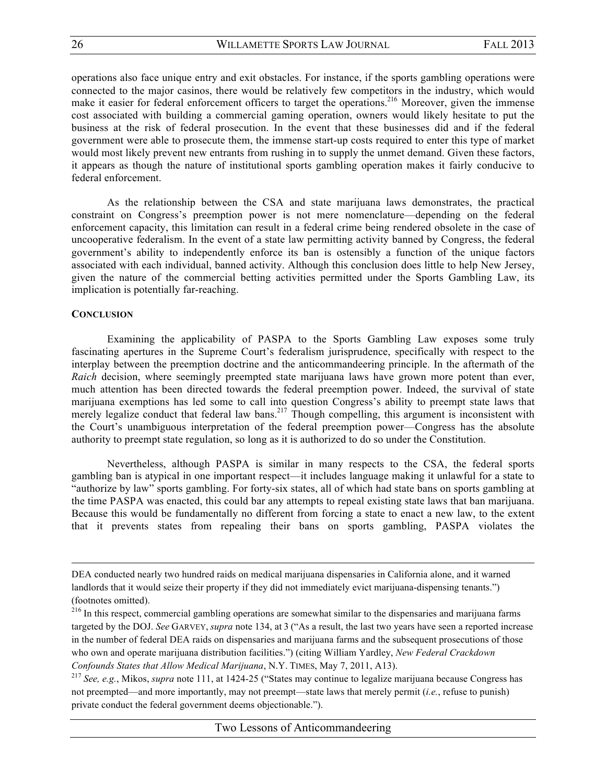operations also face unique entry and exit obstacles. For instance, if the sports gambling operations were connected to the major casinos, there would be relatively few competitors in the industry, which would make it easier for federal enforcement officers to target the operations.<sup>216</sup> Moreover, given the immense cost associated with building a commercial gaming operation, owners would likely hesitate to put the business at the risk of federal prosecution. In the event that these businesses did and if the federal government were able to prosecute them, the immense start-up costs required to enter this type of market would most likely prevent new entrants from rushing in to supply the unmet demand. Given these factors, it appears as though the nature of institutional sports gambling operation makes it fairly conducive to federal enforcement.

As the relationship between the CSA and state marijuana laws demonstrates, the practical constraint on Congress's preemption power is not mere nomenclature—depending on the federal enforcement capacity, this limitation can result in a federal crime being rendered obsolete in the case of uncooperative federalism. In the event of a state law permitting activity banned by Congress, the federal government's ability to independently enforce its ban is ostensibly a function of the unique factors associated with each individual, banned activity. Although this conclusion does little to help New Jersey, given the nature of the commercial betting activities permitted under the Sports Gambling Law, its implication is potentially far-reaching.

### **CONCLUSION**

Examining the applicability of PASPA to the Sports Gambling Law exposes some truly fascinating apertures in the Supreme Court's federalism jurisprudence, specifically with respect to the interplay between the preemption doctrine and the anticommandeering principle. In the aftermath of the *Raich* decision, where seemingly preempted state marijuana laws have grown more potent than ever, much attention has been directed towards the federal preemption power. Indeed, the survival of state marijuana exemptions has led some to call into question Congress's ability to preempt state laws that merely legalize conduct that federal law bans.<sup>217</sup> Though compelling, this argument is inconsistent with the Court's unambiguous interpretation of the federal preemption power—Congress has the absolute authority to preempt state regulation, so long as it is authorized to do so under the Constitution.

Nevertheless, although PASPA is similar in many respects to the CSA, the federal sports gambling ban is atypical in one important respect—it includes language making it unlawful for a state to "authorize by law" sports gambling. For forty-six states, all of which had state bans on sports gambling at the time PASPA was enacted, this could bar any attempts to repeal existing state laws that ban marijuana. Because this would be fundamentally no different from forcing a state to enact a new law, to the extent that it prevents states from repealing their bans on sports gambling, PASPA violates the

DEA conducted nearly two hundred raids on medical marijuana dispensaries in California alone, and it warned landlords that it would seize their property if they did not immediately evict marijuana-dispensing tenants.") (footnotes omitted).

<sup>&</sup>lt;sup>216</sup> In this respect, commercial gambling operations are somewhat similar to the dispensaries and marijuana farms targeted by the DOJ. *See* GARVEY, *supra* note 134, at 3 ("As a result, the last two years have seen a reported increase in the number of federal DEA raids on dispensaries and marijuana farms and the subsequent prosecutions of those who own and operate marijuana distribution facilities.") (citing William Yardley, *New Federal Crackdown Confounds States that Allow Medical Marijuana*, N.Y. TIMES, May 7, 2011, A13).

<sup>217</sup> *See, e.g.*, Mikos, *supra* note 111, at 1424-25 ("States may continue to legalize marijuana because Congress has not preempted—and more importantly, may not preempt—state laws that merely permit (*i.e.*, refuse to punish) private conduct the federal government deems objectionable.").